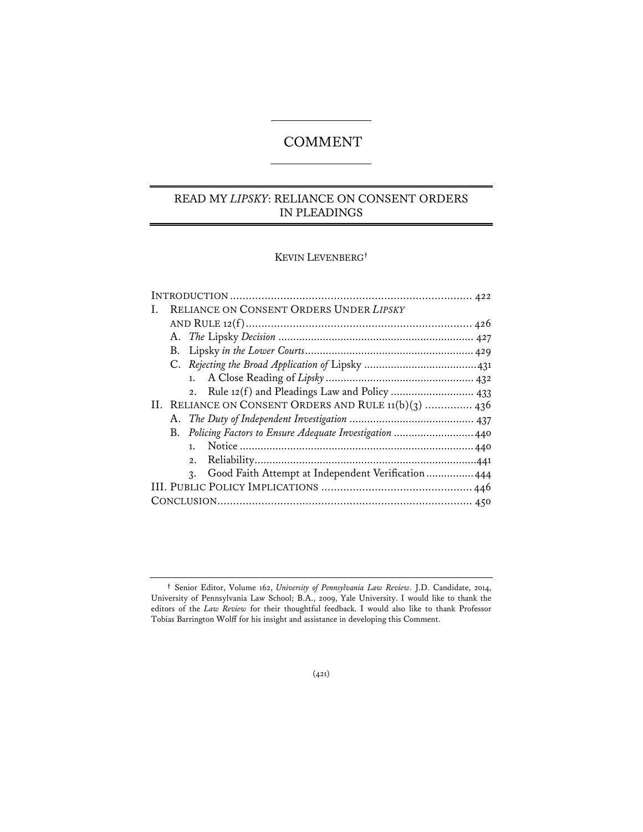# COMMENT

# READ MY *LIPSKY*: RELIANCE ON CONSENT ORDERS IN PLEADINGS

KEVIN LEVENBERG**†**

| Ι. | RELIANCE ON CONSENT ORDERS UNDER LIPSKY                               |
|----|-----------------------------------------------------------------------|
|    |                                                                       |
|    |                                                                       |
|    |                                                                       |
|    |                                                                       |
|    |                                                                       |
|    |                                                                       |
|    | II. RELIANCE ON CONSENT ORDERS AND RULE 11(b)(3)  436                 |
|    |                                                                       |
|    | B. Policing Factors to Ensure Adequate Investigation  440             |
|    | 1.                                                                    |
|    | 2.                                                                    |
|    | Good Faith Attempt at Independent Verification 444<br>$\mathcal{R}$ . |
|    |                                                                       |
|    |                                                                       |
|    |                                                                       |

**<sup>†</sup>** Senior Editor, Volume 162, *University of Pennsylvania Law Review*. J.D. Candidate, 2014, University of Pennsylvania Law School; B.A., 2009, Yale University. I would like to thank the editors of the *Law Review* for their thoughtful feedback. I would also like to thank Professor Tobias Barrington Wolff for his insight and assistance in developing this Comment.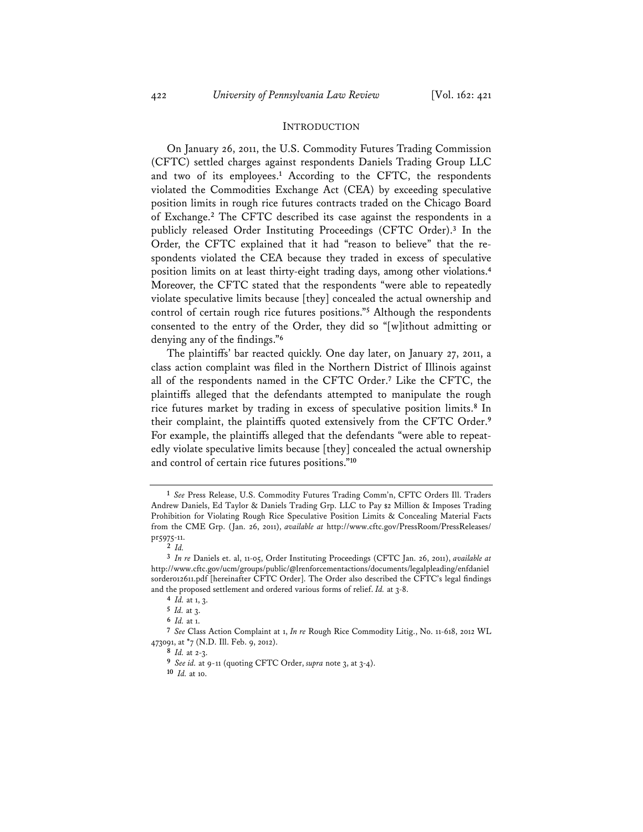#### INTRODUCTION

On January 26, 2011, the U.S. Commodity Futures Trading Commission (CFTC) settled charges against respondents Daniels Trading Group LLC and two of its employees.**<sup>1</sup>** According to the CFTC, the respondents violated the Commodities Exchange Act (CEA) by exceeding speculative position limits in rough rice futures contracts traded on the Chicago Board of Exchange.**<sup>2</sup>** The CFTC described its case against the respondents in a publicly released Order Instituting Proceedings (CFTC Order).**<sup>3</sup>** In the Order, the CFTC explained that it had "reason to believe" that the respondents violated the CEA because they traded in excess of speculative position limits on at least thirty-eight trading days, among other violations.**<sup>4</sup>** Moreover, the CFTC stated that the respondents "were able to repeatedly violate speculative limits because [they] concealed the actual ownership and control of certain rough rice futures positions."**<sup>5</sup>** Although the respondents consented to the entry of the Order, they did so "[w]ithout admitting or denying any of the findings."**<sup>6</sup>**

The plaintiffs' bar reacted quickly. One day later, on January 27, 2011, a class action complaint was filed in the Northern District of Illinois against all of the respondents named in the CFTC Order.**<sup>7</sup>** Like the CFTC, the plaintiffs alleged that the defendants attempted to manipulate the rough rice futures market by trading in excess of speculative position limits.**<sup>8</sup>** In their complaint, the plaintiffs quoted extensively from the CFTC Order.**<sup>9</sup>** For example, the plaintiffs alleged that the defendants "were able to repeatedly violate speculative limits because [they] concealed the actual ownership and control of certain rice futures positions."**<sup>10</sup>**

**<sup>1</sup>** *See* Press Release, U.S. Commodity Futures Trading Comm'n, CFTC Orders Ill. Traders Andrew Daniels, Ed Taylor & Daniels Trading Grp. LLC to Pay \$2 Million & Imposes Trading Prohibition for Violating Rough Rice Speculative Position Limits & Concealing Material Facts from the CME Grp. (Jan. 26, 2011), *available at* http://www.cftc.gov/PressRoom/PressReleases/ pr5975-11.

**<sup>2</sup>** *Id.*

**<sup>3</sup>** *In re* Daniels et. al, 11-05, Order Instituting Proceedings (CFTC Jan. 26, 2011), *available at* http://www.cftc.gov/ucm/groups/public/@lrenforcementactions/documents/legalpleading/enfdaniel sorder012611.pdf [hereinafter CFTC Order]. The Order also described the CFTC's legal findings and the proposed settlement and ordered various forms of relief. *Id.* at 3-8.

**<sup>4</sup>** *Id.* at 1, 3.

**<sup>5</sup>** *Id.* at 3.

**<sup>6</sup>** *Id.* at 1.

**<sup>7</sup>** *See* Class Action Complaint at 1, *In re* Rough Rice Commodity Litig., No. 11-618, 2012 WL 473091, at \*7 (N.D. Ill. Feb. 9, 2012).

**<sup>8</sup>** *Id.* at 2-3.

**<sup>9</sup>** *See id.* at 9-11 (quoting CFTC Order, *supra* note 3, at 3-4).

**<sup>10</sup>** *Id.* at 10.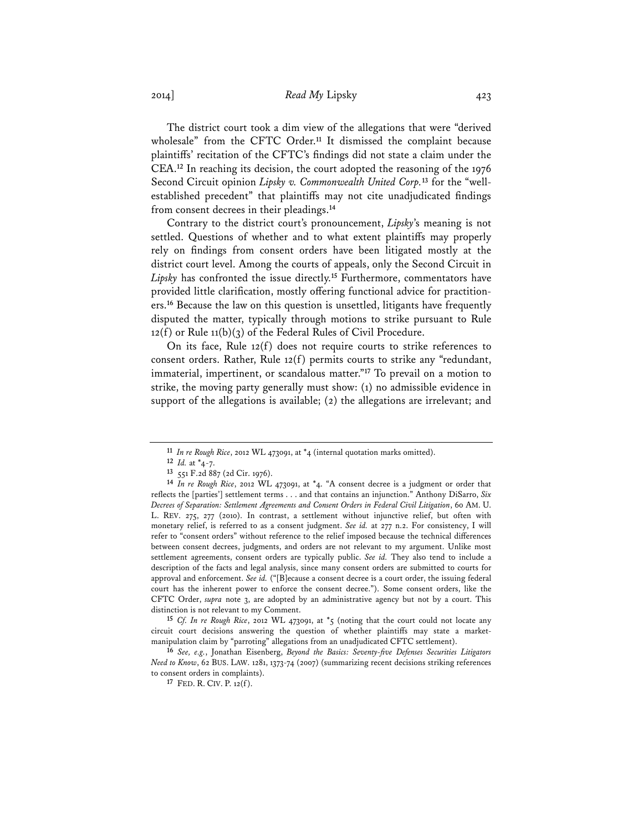2014] *Read My* Lipsky 423

The district court took a dim view of the allegations that were "derived wholesale" from the CFTC Order.**<sup>11</sup>** It dismissed the complaint because plaintiffs' recitation of the CFTC's findings did not state a claim under the CEA.**<sup>12</sup>** In reaching its decision, the court adopted the reasoning of the 1976 Second Circuit opinion *Lipsky v. Commonwealth United Corp.***13** for the "wellestablished precedent" that plaintiffs may not cite unadjudicated findings from consent decrees in their pleadings.**<sup>14</sup>**

Contrary to the district court's pronouncement, *Lipsky*'s meaning is not settled. Questions of whether and to what extent plaintiffs may properly rely on findings from consent orders have been litigated mostly at the district court level. Among the courts of appeals, only the Second Circuit in *Lipsky* has confronted the issue directly.**<sup>15</sup>** Furthermore, commentators have provided little clarification, mostly offering functional advice for practitioners.**<sup>16</sup>** Because the law on this question is unsettled, litigants have frequently disputed the matter, typically through motions to strike pursuant to Rule  $12(f)$  or Rule  $11(b)(3)$  of the Federal Rules of Civil Procedure.

On its face, Rule 12(f) does not require courts to strike references to consent orders. Rather, Rule 12(f) permits courts to strike any "redundant, immaterial, impertinent, or scandalous matter."**<sup>17</sup>** To prevail on a motion to strike, the moving party generally must show: (1) no admissible evidence in support of the allegations is available; (2) the allegations are irrelevant; and

**15** *Cf. In re Rough Rice*, 2012 WL 473091, at \*5 (noting that the court could not locate any circuit court decisions answering the question of whether plaintiffs may state a marketmanipulation claim by "parroting" allegations from an unadjudicated CFTC settlement).

**16** *See, e.g.*, Jonathan Eisenberg, *Beyond the Basics: Seventy-five Defenses Securities Litigators Need to Know*, 62 BUS. LAW. 1281, 1373-74 (2007) (summarizing recent decisions striking references to consent orders in complaints).

**17** FED. R. CIV. P. 12(f).

**<sup>11</sup>** *In re Rough Rice*, 2012 WL 473091, at \*4 (internal quotation marks omitted).

**<sup>12</sup>** *Id.* at \*4-7.

**<sup>13</sup>** 551 F.2d 887 (2d Cir. 1976).

**<sup>14</sup>** *In re Rough Rice*, 2012 WL 473091, at \*4. "A consent decree is a judgment or order that reflects the [parties'] settlement terms . . . and that contains an injunction." Anthony DiSarro, *Six Decrees of Separation: Settlement Agreements and Consent Orders in Federal Civil Litigation*, 60 AM. U. L. REV. 275, 277 (2010). In contrast, a settlement without injunctive relief, but often with monetary relief, is referred to as a consent judgment. *See id.* at 277 n.2. For consistency, I will refer to "consent orders" without reference to the relief imposed because the technical differences between consent decrees, judgments, and orders are not relevant to my argument. Unlike most settlement agreements, consent orders are typically public. *See id.* They also tend to include a description of the facts and legal analysis, since many consent orders are submitted to courts for approval and enforcement. *See id.* ("[B]ecause a consent decree is a court order, the issuing federal court has the inherent power to enforce the consent decree."). Some consent orders, like the CFTC Order, *supra* note 3, are adopted by an administrative agency but not by a court. This distinction is not relevant to my Comment.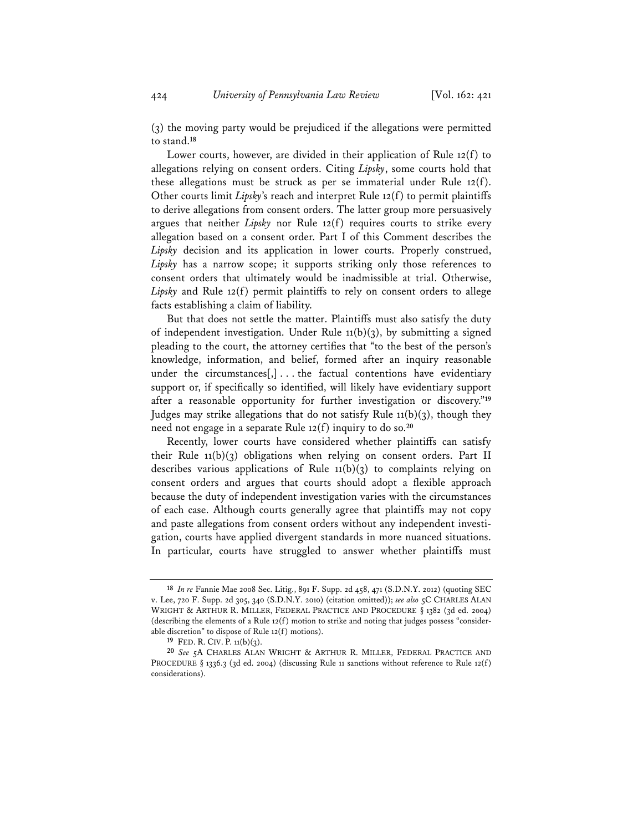(3) the moving party would be prejudiced if the allegations were permitted to stand.**<sup>18</sup>**

Lower courts, however, are divided in their application of Rule 12(f) to allegations relying on consent orders. Citing *Lipsky*, some courts hold that these allegations must be struck as per se immaterial under Rule 12(f). Other courts limit *Lipsky*'s reach and interpret Rule 12(f) to permit plaintiffs to derive allegations from consent orders. The latter group more persuasively argues that neither *Lipsky* nor Rule 12(f) requires courts to strike every allegation based on a consent order. Part I of this Comment describes the *Lipsky* decision and its application in lower courts. Properly construed, *Lipsky* has a narrow scope; it supports striking only those references to consent orders that ultimately would be inadmissible at trial. Otherwise, *Lipsky* and Rule 12(f) permit plaintiffs to rely on consent orders to allege facts establishing a claim of liability.

 But that does not settle the matter. Plaintiffs must also satisfy the duty of independent investigation. Under Rule  $11(b)(3)$ , by submitting a signed pleading to the court, the attorney certifies that "to the best of the person's knowledge, information, and belief, formed after an inquiry reasonable under the circumstances $[, \cdot \cdot \cdot$  the factual contentions have evidentiary support or, if specifically so identified, will likely have evidentiary support after a reasonable opportunity for further investigation or discovery."**<sup>19</sup>** Judges may strike allegations that do not satisfy Rule 11(b)(3), though they need not engage in a separate Rule 12(f) inquiry to do so.**<sup>20</sup>**

Recently, lower courts have considered whether plaintiffs can satisfy their Rule 11(b)(3) obligations when relying on consent orders. Part II describes various applications of Rule  $11(b)(3)$  to complaints relying on consent orders and argues that courts should adopt a flexible approach because the duty of independent investigation varies with the circumstances of each case. Although courts generally agree that plaintiffs may not copy and paste allegations from consent orders without any independent investigation, courts have applied divergent standards in more nuanced situations. In particular, courts have struggled to answer whether plaintiffs must

**<sup>18</sup>** *In re* Fannie Mae 2008 Sec. Litig., 891 F. Supp. 2d 458, 471 (S.D.N.Y. 2012) (quoting SEC v. Lee, 720 F. Supp. 2d 305, 340 (S.D.N.Y. 2010) (citation omitted)); *see also* 5C CHARLES ALAN WRIGHT & ARTHUR R. MILLER, FEDERAL PRACTICE AND PROCEDURE § 1382 (3d ed. 2004) (describing the elements of a Rule  $12(f)$  motion to strike and noting that judges possess "considerable discretion" to dispose of Rule 12(f) motions).

**<sup>19</sup>** FED. R. CIV. P. 11(b)(3).

**<sup>20</sup>** *See* 5A CHARLES ALAN WRIGHT & ARTHUR R. MILLER, FEDERAL PRACTICE AND PROCEDURE § 1336.3 (3d ed. 2004) (discussing Rule 11 sanctions without reference to Rule 12(f) considerations).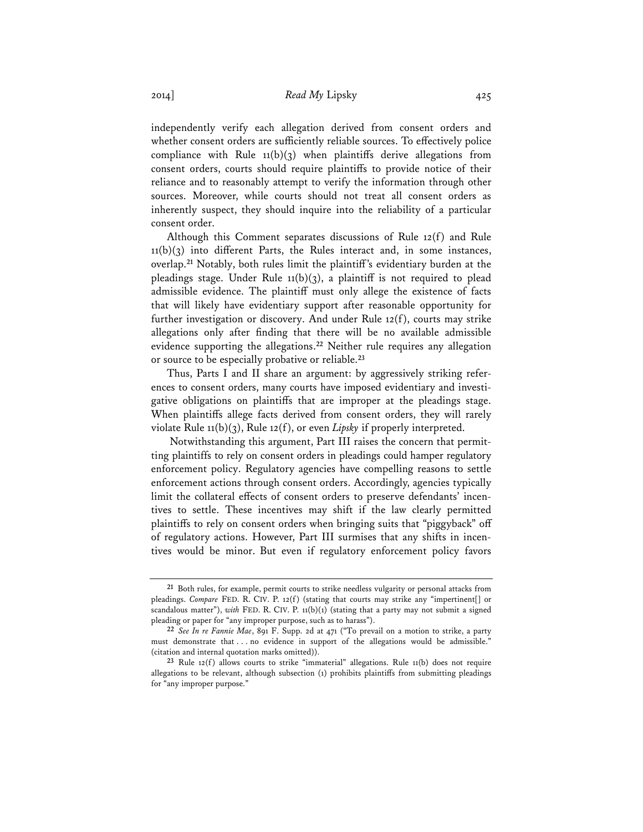independently verify each allegation derived from consent orders and whether consent orders are sufficiently reliable sources. To effectively police compliance with Rule  $11(b)(3)$  when plaintiffs derive allegations from consent orders, courts should require plaintiffs to provide notice of their reliance and to reasonably attempt to verify the information through other sources. Moreover, while courts should not treat all consent orders as inherently suspect, they should inquire into the reliability of a particular consent order.

Although this Comment separates discussions of Rule 12(f) and Rule  $11(b)(3)$  into different Parts, the Rules interact and, in some instances, overlap.**<sup>21</sup>** Notably, both rules limit the plaintiff's evidentiary burden at the pleadings stage. Under Rule  $11(b)(3)$ , a plaintiff is not required to plead admissible evidence. The plaintiff must only allege the existence of facts that will likely have evidentiary support after reasonable opportunity for further investigation or discovery. And under Rule 12(f), courts may strike allegations only after finding that there will be no available admissible evidence supporting the allegations.**<sup>22</sup>** Neither rule requires any allegation or source to be especially probative or reliable.**<sup>23</sup>**

Thus, Parts I and II share an argument: by aggressively striking references to consent orders, many courts have imposed evidentiary and investigative obligations on plaintiffs that are improper at the pleadings stage. When plaintiffs allege facts derived from consent orders, they will rarely violate Rule 11(b)(3), Rule 12(f), or even *Lipsky* if properly interpreted.

 Notwithstanding this argument, Part III raises the concern that permitting plaintiffs to rely on consent orders in pleadings could hamper regulatory enforcement policy. Regulatory agencies have compelling reasons to settle enforcement actions through consent orders. Accordingly, agencies typically limit the collateral effects of consent orders to preserve defendants' incentives to settle. These incentives may shift if the law clearly permitted plaintiffs to rely on consent orders when bringing suits that "piggyback" off of regulatory actions. However, Part III surmises that any shifts in incentives would be minor. But even if regulatory enforcement policy favors

**<sup>21</sup>** Both rules, for example, permit courts to strike needless vulgarity or personal attacks from pleadings. *Compare* FED. R. CIV. P. 12(f) (stating that courts may strike any "impertinent[] or scandalous matter"), *with* FED. R. CIV. P. 11(b)(1) (stating that a party may not submit a signed pleading or paper for "any improper purpose, such as to harass").

**<sup>22</sup>** *See In re Fannie Mae*, 891 F. Supp. 2d at 471 ("To prevail on a motion to strike, a party must demonstrate that . . . no evidence in support of the allegations would be admissible." (citation and internal quotation marks omitted)).

**<sup>23</sup>** Rule 12(f) allows courts to strike "immaterial" allegations. Rule 11(b) does not require allegations to be relevant, although subsection (1) prohibits plaintiffs from submitting pleadings for "any improper purpose."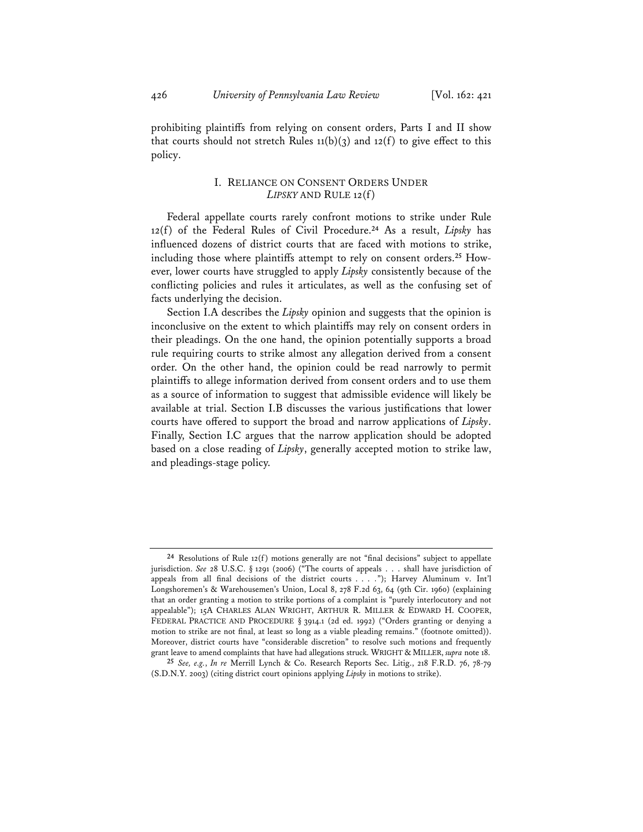prohibiting plaintiffs from relying on consent orders, Parts I and II show that courts should not stretch Rules  $11(b)(3)$  and  $12(f)$  to give effect to this policy.

# I. RELIANCE ON CONSENT ORDERS UNDER *LIPSKY* AND RULE 12(f)

Federal appellate courts rarely confront motions to strike under Rule 12(f) of the Federal Rules of Civil Procedure.**<sup>24</sup>** As a result, *Lipsky* has influenced dozens of district courts that are faced with motions to strike, including those where plaintiffs attempt to rely on consent orders.**25** However, lower courts have struggled to apply *Lipsky* consistently because of the conflicting policies and rules it articulates, as well as the confusing set of facts underlying the decision.

Section I.A describes the *Lipsky* opinion and suggests that the opinion is inconclusive on the extent to which plaintiffs may rely on consent orders in their pleadings. On the one hand, the opinion potentially supports a broad rule requiring courts to strike almost any allegation derived from a consent order. On the other hand, the opinion could be read narrowly to permit plaintiffs to allege information derived from consent orders and to use them as a source of information to suggest that admissible evidence will likely be available at trial. Section I.B discusses the various justifications that lower courts have offered to support the broad and narrow applications of *Lipsky*. Finally, Section I.C argues that the narrow application should be adopted based on a close reading of *Lipsky*, generally accepted motion to strike law, and pleadings-stage policy.

**<sup>24</sup>** Resolutions of Rule 12(f) motions generally are not "final decisions" subject to appellate jurisdiction. *See* 28 U.S.C. § 1291 (2006) ("The courts of appeals . . . shall have jurisdiction of appeals from all final decisions of the district courts . . . ."); Harvey Aluminum v. Int'l Longshoremen's & Warehousemen's Union, Local 8, 278 F.2d 63, 64 (9th Cir. 1960) (explaining that an order granting a motion to strike portions of a complaint is "purely interlocutory and not appealable"); 15A CHARLES ALAN WRIGHT, ARTHUR R. MILLER & EDWARD H. COOPER, FEDERAL PRACTICE AND PROCEDURE § 3914.1 (2d ed. 1992) ("Orders granting or denying a motion to strike are not final, at least so long as a viable pleading remains." (footnote omitted)). Moreover, district courts have "considerable discretion" to resolve such motions and frequently grant leave to amend complaints that have had allegations struck. WRIGHT & MILLER, *supra* note 18.

**<sup>25</sup>** *See, e.g.*, *In re* Merrill Lynch & Co. Research Reports Sec. Litig., 218 F.R.D. 76, 78-79 (S.D.N.Y. 2003) (citing district court opinions applying *Lipsky* in motions to strike).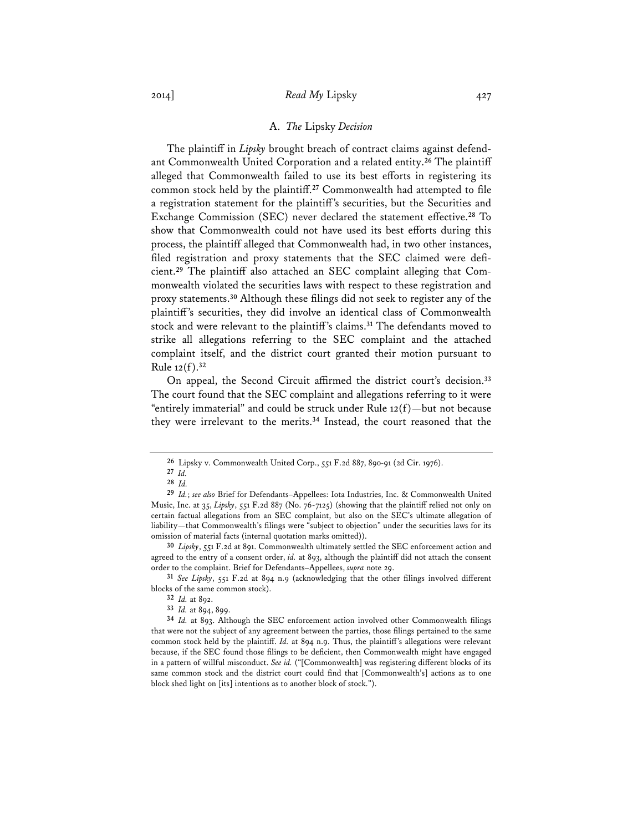#### A. *The* Lipsky *Decision*

The plaintiff in *Lipsky* brought breach of contract claims against defendant Commonwealth United Corporation and a related entity.**<sup>26</sup>** The plaintiff alleged that Commonwealth failed to use its best efforts in registering its common stock held by the plaintiff.**<sup>27</sup>** Commonwealth had attempted to file a registration statement for the plaintiff's securities, but the Securities and Exchange Commission (SEC) never declared the statement effective.**<sup>28</sup>** To show that Commonwealth could not have used its best efforts during this process, the plaintiff alleged that Commonwealth had, in two other instances, filed registration and proxy statements that the SEC claimed were deficient.**29** The plaintiff also attached an SEC complaint alleging that Commonwealth violated the securities laws with respect to these registration and proxy statements.**<sup>30</sup>** Although these filings did not seek to register any of the plaintiff's securities, they did involve an identical class of Commonwealth stock and were relevant to the plaintiff's claims.**<sup>31</sup>** The defendants moved to strike all allegations referring to the SEC complaint and the attached complaint itself, and the district court granted their motion pursuant to Rule 12(f).**<sup>32</sup>**

On appeal, the Second Circuit affirmed the district court's decision.**<sup>33</sup>** The court found that the SEC complaint and allegations referring to it were "entirely immaterial" and could be struck under Rule  $12(f)$ —but not because they were irrelevant to the merits.**<sup>34</sup>** Instead, the court reasoned that the

**30** *Lipsky*, 551 F.2d at 891. Commonwealth ultimately settled the SEC enforcement action and agreed to the entry of a consent order, *id.* at 893, although the plaintiff did not attach the consent order to the complaint. Brief for Defendants–Appellees, *supra* note 29.

**31** *See Lipsky*, 551 F.2d at 894 n.9 (acknowledging that the other filings involved different blocks of the same common stock).

**<sup>26</sup>** Lipsky v. Commonwealth United Corp., 551 F.2d 887, 890-91 (2d Cir. 1976).

**<sup>27</sup>** *Id.*

**<sup>28</sup>** *Id.*

**<sup>29</sup>** *Id.*; *see also* Brief for Defendants–Appellees: Iota Industries, Inc. & Commonwealth United Music, Inc. at 35, *Lipsky*, 551 F.2d 887 (No. 76-7125) (showing that the plaintiff relied not only on certain factual allegations from an SEC complaint, but also on the SEC's ultimate allegation of liability—that Commonwealth's filings were "subject to objection" under the securities laws for its omission of material facts (internal quotation marks omitted)).

**<sup>32</sup>** *Id.* at 892.

**<sup>33</sup>** *Id.* at 894, 899.

**<sup>34</sup>** *Id.* at 893. Although the SEC enforcement action involved other Commonwealth filings that were not the subject of any agreement between the parties, those filings pertained to the same common stock held by the plaintiff. *Id.* at 894 n.9. Thus, the plaintiff's allegations were relevant because, if the SEC found those filings to be deficient, then Commonwealth might have engaged in a pattern of willful misconduct. *See id.* ("[Commonwealth] was registering different blocks of its same common stock and the district court could find that [Commonwealth's] actions as to one block shed light on [its] intentions as to another block of stock.").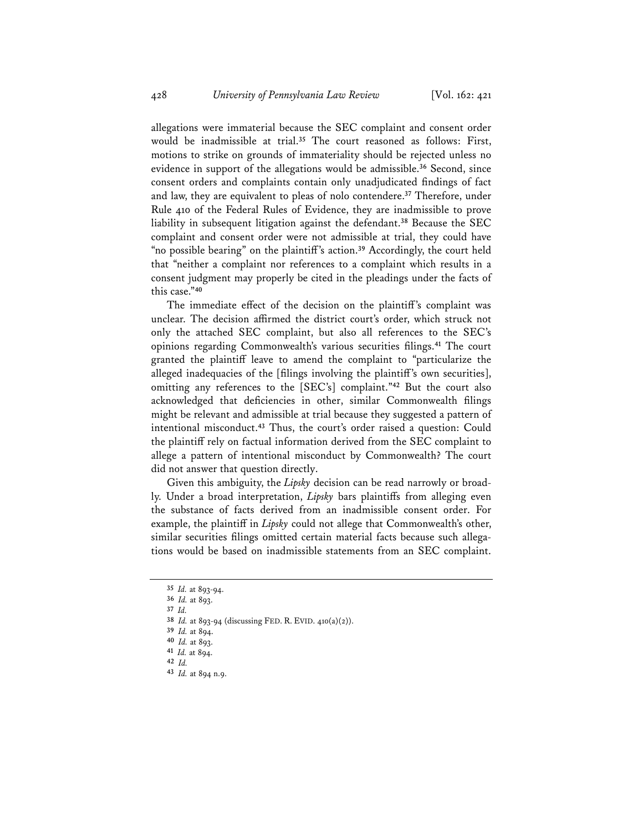allegations were immaterial because the SEC complaint and consent order would be inadmissible at trial.**<sup>35</sup>** The court reasoned as follows: First, motions to strike on grounds of immateriality should be rejected unless no evidence in support of the allegations would be admissible.**<sup>36</sup>** Second, since consent orders and complaints contain only unadjudicated findings of fact and law, they are equivalent to pleas of nolo contendere.**<sup>37</sup>** Therefore, under Rule 410 of the Federal Rules of Evidence, they are inadmissible to prove liability in subsequent litigation against the defendant.**<sup>38</sup>** Because the SEC complaint and consent order were not admissible at trial, they could have "no possible bearing" on the plaintiff's action.**<sup>39</sup>** Accordingly, the court held that "neither a complaint nor references to a complaint which results in a consent judgment may properly be cited in the pleadings under the facts of this case."**<sup>40</sup>**

The immediate effect of the decision on the plaintiff's complaint was unclear. The decision affirmed the district court's order, which struck not only the attached SEC complaint, but also all references to the SEC's opinions regarding Commonwealth's various securities filings.**<sup>41</sup>** The court granted the plaintiff leave to amend the complaint to "particularize the alleged inadequacies of the [filings involving the plaintiff's own securities], omitting any references to the [SEC's] complaint."**<sup>42</sup>** But the court also acknowledged that deficiencies in other, similar Commonwealth filings might be relevant and admissible at trial because they suggested a pattern of intentional misconduct.**<sup>43</sup>** Thus, the court's order raised a question: Could the plaintiff rely on factual information derived from the SEC complaint to allege a pattern of intentional misconduct by Commonwealth? The court did not answer that question directly.

Given this ambiguity, the *Lipsky* decision can be read narrowly or broadly. Under a broad interpretation, *Lipsky* bars plaintiffs from alleging even the substance of facts derived from an inadmissible consent order. For example, the plaintiff in *Lipsky* could not allege that Commonwealth's other, similar securities filings omitted certain material facts because such allegations would be based on inadmissible statements from an SEC complaint.

**<sup>35</sup>** *Id.* at 893-94.

**<sup>36</sup>** *Id.* at 893.

**<sup>37</sup>** *Id.*

**<sup>38</sup>** *Id.* at 893-94 (discussing FED. R. EVID. 410(a)(2)).

**<sup>39</sup>** *Id.* at 894.

**<sup>40</sup>** *Id.* at 893.

**<sup>41</sup>** *Id.* at 894.

**<sup>42</sup>** *Id.* 

**<sup>43</sup>** *Id.* at 894 n.9.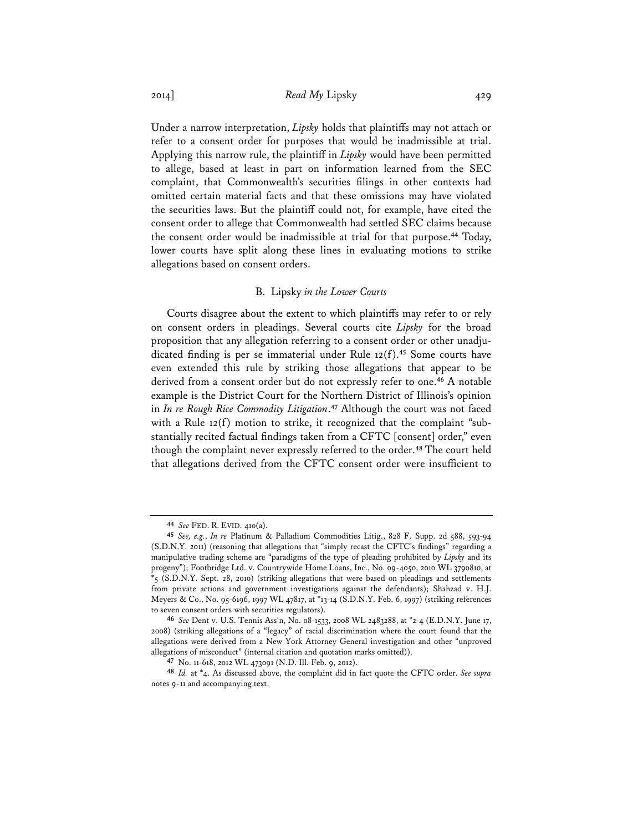Under a narrow interpretation, *Lipsky* holds that plaintiffs may not attach or refer to a consent order for purposes that would be inadmissible at trial. Applying this narrow rule, the plaintiff in *Lipsky* would have been permitted to allege, based at least in part on information learned from the SEC complaint, that Commonwealth's securities filings in other contexts had omitted certain material facts and that these omissions may have violated the securities laws. But the plaintiff could not, for example, have cited the consent order to allege that Commonwealth had settled SEC claims because the consent order would be inadmissible at trial for that purpose.**<sup>44</sup>** Today, lower courts have split along these lines in evaluating motions to strike allegations based on consent orders.

#### B. Lipsky *in the Lower Courts*

Courts disagree about the extent to which plaintiffs may refer to or rely on consent orders in pleadings. Several courts cite *Lipsky* for the broad proposition that any allegation referring to a consent order or other unadjudicated finding is per se immaterial under Rule 12(f).**<sup>45</sup>** Some courts have even extended this rule by striking those allegations that appear to be derived from a consent order but do not expressly refer to one.**<sup>46</sup>** A notable example is the District Court for the Northern District of Illinois's opinion in *In re Rough Rice Commodity Litigation*. **<sup>47</sup>** Although the court was not faced with a Rule 12(f) motion to strike, it recognized that the complaint "substantially recited factual findings taken from a CFTC [consent] order," even though the complaint never expressly referred to the order.**<sup>48</sup>** The court held that allegations derived from the CFTC consent order were insufficient to

**<sup>44</sup>** *See* FED. R. EVID. 410(a).

**<sup>45</sup>** *See, e.g.*, *In re* Platinum & Palladium Commodities Litig., 828 F. Supp. 2d 588, 593-94 (S.D.N.Y. 2011) (reasoning that allegations that "simply recast the CFTC's findings" regarding a manipulative trading scheme are "paradigms of the type of pleading prohibited by *Lipsky* and its progeny"); Footbridge Ltd. v. Countrywide Home Loans, Inc., No. 09-4050, 2010 WL 3790810, at \*5 (S.D.N.Y. Sept. 28, 2010) (striking allegations that were based on pleadings and settlements from private actions and government investigations against the defendants); Shahzad v. H.J. Meyers & Co., No. 95-6196, 1997 WL 47817, at \*13-14 (S.D.N.Y. Feb. 6, 1997) (striking references to seven consent orders with securities regulators).

**<sup>46</sup>** *See* Dent v. U.S. Tennis Ass'n, No. 08-1533, 2008 WL 2483288, at \*2-4 (E.D.N.Y. June 17, 2008) (striking allegations of a "legacy" of racial discrimination where the court found that the allegations were derived from a New York Attorney General investigation and other "unproved allegations of misconduct" (internal citation and quotation marks omitted)).

**<sup>47</sup>** No. 11-618, 2012 WL 473091 (N.D. Ill. Feb. 9, 2012).

**<sup>48</sup>** *Id.* at \*4. As discussed above, the complaint did in fact quote the CFTC order. *See supra* notes 9-11 and accompanying text.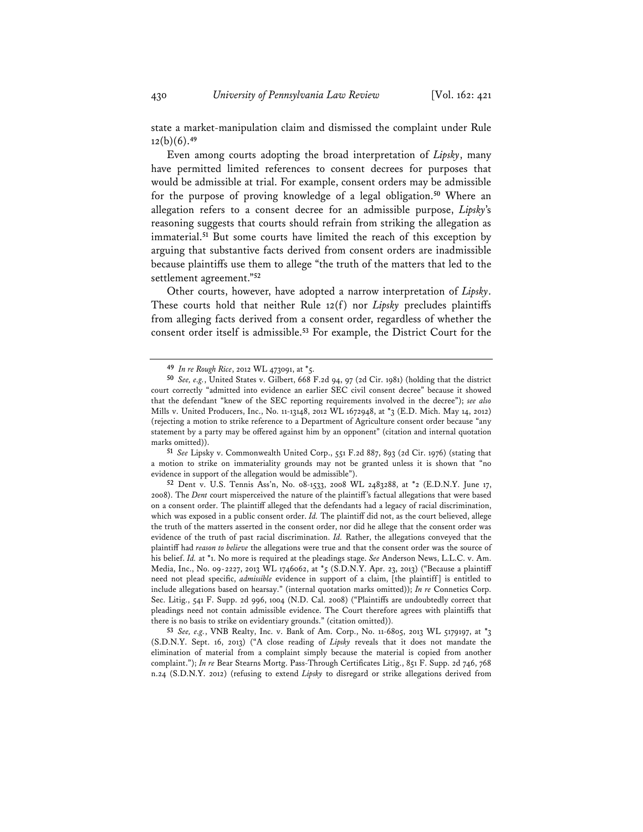state a market-manipulation claim and dismissed the complaint under Rule 12(b)(6).**<sup>49</sup>**

Even among courts adopting the broad interpretation of *Lipsky*, many have permitted limited references to consent decrees for purposes that would be admissible at trial. For example, consent orders may be admissible for the purpose of proving knowledge of a legal obligation.**<sup>50</sup>** Where an allegation refers to a consent decree for an admissible purpose, *Lipsky*'s reasoning suggests that courts should refrain from striking the allegation as immaterial.**<sup>51</sup>** But some courts have limited the reach of this exception by arguing that substantive facts derived from consent orders are inadmissible because plaintiffs use them to allege "the truth of the matters that led to the settlement agreement."**<sup>52</sup>**

Other courts, however, have adopted a narrow interpretation of *Lipsky*. These courts hold that neither Rule 12(f) nor *Lipsky* precludes plaintiffs from alleging facts derived from a consent order, regardless of whether the consent order itself is admissible.**<sup>53</sup>** For example, the District Court for the

**51** *See* Lipsky v. Commonwealth United Corp., 551 F.2d 887, 893 (2d Cir. 1976) (stating that a motion to strike on immateriality grounds may not be granted unless it is shown that "no evidence in support of the allegation would be admissible").

**52** Dent v. U.S. Tennis Ass'n, No. 08-1533, 2008 WL 2483288, at \*2 (E.D.N.Y. June 17, 2008). The *Dent* court misperceived the nature of the plaintiff's factual allegations that were based on a consent order. The plaintiff alleged that the defendants had a legacy of racial discrimination, which was exposed in a public consent order. *Id.* The plaintiff did not, as the court believed, allege the truth of the matters asserted in the consent order, nor did he allege that the consent order was evidence of the truth of past racial discrimination. *Id.* Rather, the allegations conveyed that the plaintiff had *reason to believe* the allegations were true and that the consent order was the source of his belief. *Id.* at \*1. No more is required at the pleadings stage. *See* Anderson News, L.L.C. v. Am. Media, Inc., No. 09-2227, 2013 WL 1746062, at \*5 (S.D.N.Y. Apr. 23, 2013) ("Because a plaintiff need not plead specific, *admissible* evidence in support of a claim, [the plaintiff] is entitled to include allegations based on hearsay." (internal quotation marks omitted)); *In re* Connetics Corp. Sec. Litig., 541 F. Supp. 2d 996, 1004 (N.D. Cal. 2008) ("Plaintiffs are undoubtedly correct that pleadings need not contain admissible evidence. The Court therefore agrees with plaintiffs that there is no basis to strike on evidentiary grounds." (citation omitted)).

**53** *See, e.g.*, VNB Realty, Inc. v. Bank of Am. Corp., No. 11-6805, 2013 WL 5179197, at \*3 (S.D.N.Y. Sept. 16, 2013) ("A close reading of *Lipsky* reveals that it does not mandate the elimination of material from a complaint simply because the material is copied from another complaint."); *In re* Bear Stearns Mortg. Pass-Through Certificates Litig., 851 F. Supp. 2d 746, 768 n.24 (S.D.N.Y. 2012) (refusing to extend *Lipsky* to disregard or strike allegations derived from

**<sup>49</sup>** *In re Rough Rice*, 2012 WL 473091, at \*5.

**<sup>50</sup>** *See, e.g.*, United States v. Gilbert, 668 F.2d 94, 97 (2d Cir. 1981) (holding that the district court correctly "admitted into evidence an earlier SEC civil consent decree" because it showed that the defendant "knew of the SEC reporting requirements involved in the decree"); *see also* Mills v. United Producers, Inc., No. 11-13148, 2012 WL 1672948, at \*3 (E.D. Mich. May 14, 2012) (rejecting a motion to strike reference to a Department of Agriculture consent order because "any statement by a party may be offered against him by an opponent" (citation and internal quotation marks omitted)).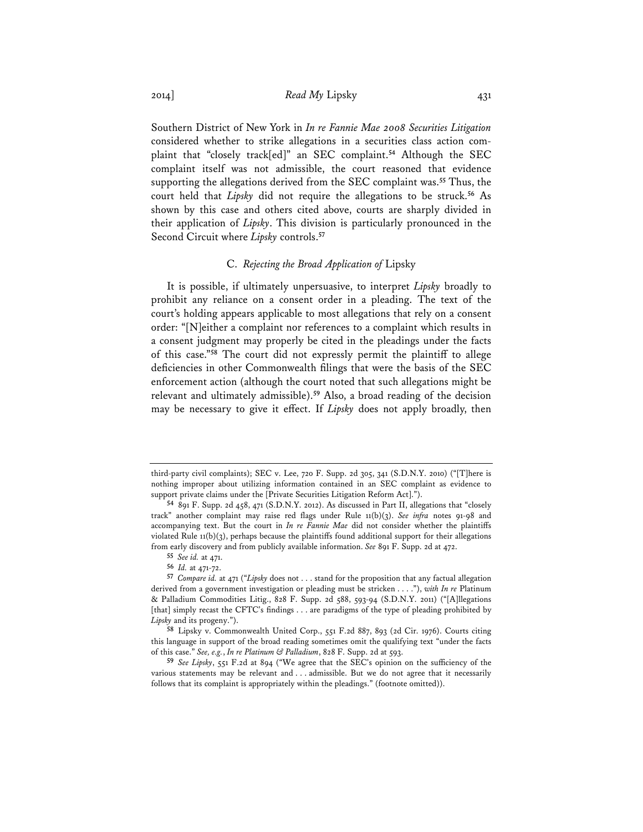2014] *Read My* Lipsky 431

Southern District of New York in *In re Fannie Mae 2008 Securities Litigation* considered whether to strike allegations in a securities class action complaint that "closely track[ed]" an SEC complaint.**<sup>54</sup>** Although the SEC complaint itself was not admissible, the court reasoned that evidence supporting the allegations derived from the SEC complaint was.**<sup>55</sup>** Thus, the court held that *Lipsky* did not require the allegations to be struck.**<sup>56</sup>** As shown by this case and others cited above, courts are sharply divided in their application of *Lipsky*. This division is particularly pronounced in the Second Circuit where *Lipsky* controls.**<sup>57</sup>**

#### C. *Rejecting the Broad Application of* Lipsky

It is possible, if ultimately unpersuasive, to interpret *Lipsky* broadly to prohibit any reliance on a consent order in a pleading. The text of the court's holding appears applicable to most allegations that rely on a consent order: "[N]either a complaint nor references to a complaint which results in a consent judgment may properly be cited in the pleadings under the facts of this case."**<sup>58</sup>** The court did not expressly permit the plaintiff to allege deficiencies in other Commonwealth filings that were the basis of the SEC enforcement action (although the court noted that such allegations might be relevant and ultimately admissible).**<sup>59</sup>** Also, a broad reading of the decision may be necessary to give it effect. If *Lipsky* does not apply broadly, then

third-party civil complaints); SEC v. Lee, 720 F. Supp. 2d 305, 341 (S.D.N.Y. 2010) ("[T]here is nothing improper about utilizing information contained in an SEC complaint as evidence to support private claims under the [Private Securities Litigation Reform Act].").

**<sup>54</sup>** 891 F. Supp. 2d 458, 471 (S.D.N.Y. 2012). As discussed in Part II, allegations that "closely track" another complaint may raise red flags under Rule 11(b)(3). *See infra* notes 91-98 and accompanying text. But the court in *In re Fannie Mae* did not consider whether the plaintiffs violated Rule 11(b)(3), perhaps because the plaintiffs found additional support for their allegations from early discovery and from publicly available information. *See* 891 F. Supp. 2d at 472.

**<sup>55</sup>** *See id.* at 471.

**<sup>56</sup>** *Id.* at 471-72.

**<sup>57</sup>** *Compare id.* at 471 ("*Lipsky* does not . . . stand for the proposition that any factual allegation derived from a government investigation or pleading must be stricken . . . ."), *with In re* Platinum & Palladium Commodities Litig., 828 F. Supp. 2d 588, 593-94 (S.D.N.Y. 2011) ("[A]llegations [that] simply recast the CFTC's findings . . . are paradigms of the type of pleading prohibited by *Lipsky* and its progeny.").

**<sup>58</sup>** Lipsky v. Commonwealth United Corp., 551 F.2d 887, 893 (2d Cir. 1976). Courts citing this language in support of the broad reading sometimes omit the qualifying text "under the facts of this case." *See, e.g.*, *In re Platinum & Palladium*, 828 F. Supp. 2d at 593.

**<sup>59</sup>** *See Lipsky*, 551 F.2d at 894 ("We agree that the SEC's opinion on the sufficiency of the various statements may be relevant and . . . admissible. But we do not agree that it necessarily follows that its complaint is appropriately within the pleadings." (footnote omitted)).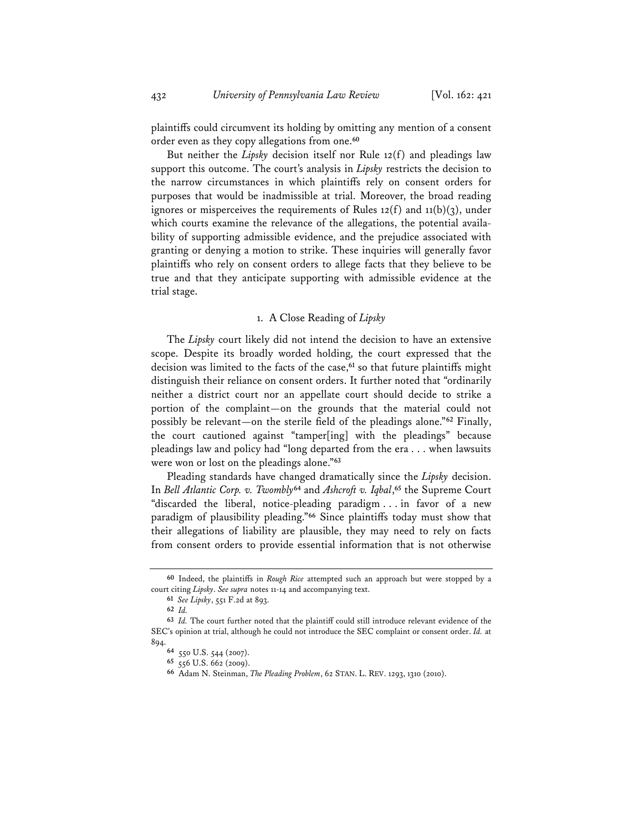plaintiffs could circumvent its holding by omitting any mention of a consent order even as they copy allegations from one.**<sup>60</sup>**

But neither the *Lipsky* decision itself nor Rule 12(f) and pleadings law support this outcome. The court's analysis in *Lipsky* restricts the decision to the narrow circumstances in which plaintiffs rely on consent orders for purposes that would be inadmissible at trial. Moreover, the broad reading ignores or misperceives the requirements of Rules  $12(f)$  and  $11(b)(3)$ , under which courts examine the relevance of the allegations, the potential availability of supporting admissible evidence, and the prejudice associated with granting or denying a motion to strike. These inquiries will generally favor plaintiffs who rely on consent orders to allege facts that they believe to be true and that they anticipate supporting with admissible evidence at the trial stage.

# 1. A Close Reading of *Lipsky*

The *Lipsky* court likely did not intend the decision to have an extensive scope. Despite its broadly worded holding, the court expressed that the decision was limited to the facts of the case,**<sup>61</sup>** so that future plaintiffs might distinguish their reliance on consent orders. It further noted that "ordinarily neither a district court nor an appellate court should decide to strike a portion of the complaint—on the grounds that the material could not possibly be relevant—on the sterile field of the pleadings alone."**<sup>62</sup>** Finally, the court cautioned against "tamper[ing] with the pleadings" because pleadings law and policy had "long departed from the era . . . when lawsuits were won or lost on the pleadings alone."**<sup>63</sup>**

Pleading standards have changed dramatically since the *Lipsky* decision. In *Bell Atlantic Corp. v. Twombly***<sup>64</sup>** and *Ashcroft v. Iqbal*, **<sup>65</sup>** the Supreme Court "discarded the liberal, notice-pleading paradigm . . . in favor of a new paradigm of plausibility pleading."**<sup>66</sup>** Since plaintiffs today must show that their allegations of liability are plausible, they may need to rely on facts from consent orders to provide essential information that is not otherwise

**<sup>60</sup>** Indeed, the plaintiffs in *Rough Rice* attempted such an approach but were stopped by a court citing *Lipsky*. *See supra* notes 11-14 and accompanying text.

**<sup>61</sup>** *See Lipsky*, 551 F.2d at 893.

**<sup>62</sup>** *Id.*

**<sup>63</sup>** *Id.* The court further noted that the plaintiff could still introduce relevant evidence of the SEC's opinion at trial, although he could not introduce the SEC complaint or consent order. *Id.* at 894.

**<sup>64</sup>** 550 U.S. 544 (2007).

**<sup>65</sup>** 556 U.S. 662 (2009).

**<sup>66</sup>** Adam N. Steinman, *The Pleading Problem*, 62 STAN. L. REV. 1293, 1310 (2010).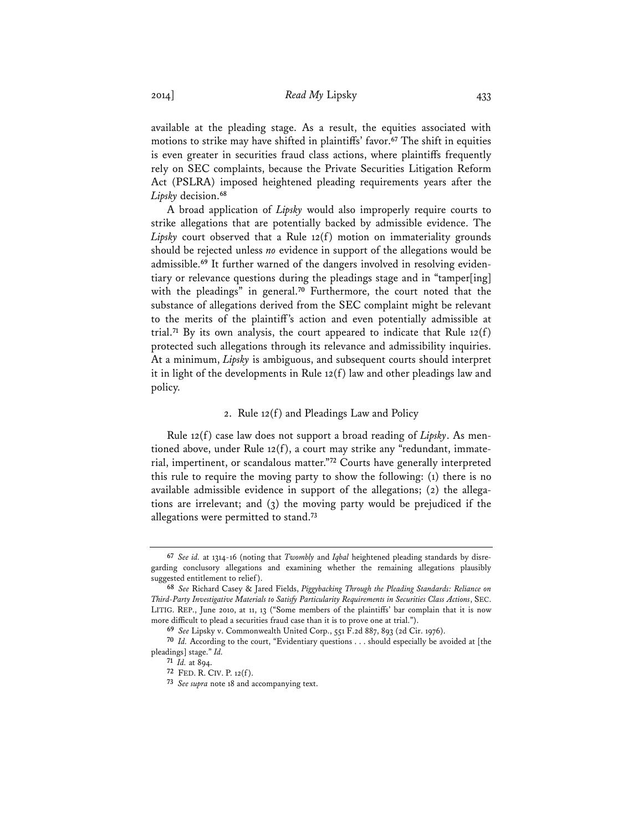2014] *Read My* Lipsky 433

available at the pleading stage. As a result, the equities associated with motions to strike may have shifted in plaintiffs' favor.**<sup>67</sup>** The shift in equities is even greater in securities fraud class actions, where plaintiffs frequently rely on SEC complaints, because the Private Securities Litigation Reform Act (PSLRA) imposed heightened pleading requirements years after the *Lipsky* decision.**<sup>68</sup>**

A broad application of *Lipsky* would also improperly require courts to strike allegations that are potentially backed by admissible evidence. The *Lipsky* court observed that a Rule 12(f) motion on immateriality grounds should be rejected unless *no* evidence in support of the allegations would be admissible.**69** It further warned of the dangers involved in resolving evidentiary or relevance questions during the pleadings stage and in "tamper[ing] with the pleadings" in general.**<sup>70</sup>** Furthermore, the court noted that the substance of allegations derived from the SEC complaint might be relevant to the merits of the plaintiff's action and even potentially admissible at trial.<sup>71</sup> By its own analysis, the court appeared to indicate that Rule  $12(f)$ protected such allegations through its relevance and admissibility inquiries. At a minimum, *Lipsky* is ambiguous, and subsequent courts should interpret it in light of the developments in Rule 12(f) law and other pleadings law and policy.

#### 2. Rule 12(f) and Pleadings Law and Policy

Rule 12(f) case law does not support a broad reading of *Lipsky*. As mentioned above, under Rule 12(f), a court may strike any "redundant, immaterial, impertinent, or scandalous matter."**<sup>72</sup>** Courts have generally interpreted this rule to require the moving party to show the following: (1) there is no available admissible evidence in support of the allegations; (2) the allegations are irrelevant; and (3) the moving party would be prejudiced if the allegations were permitted to stand.**<sup>73</sup>**

**<sup>67</sup>** *See id.* at 1314-16 (noting that *Twombly* and *Iqbal* heightened pleading standards by disregarding conclusory allegations and examining whether the remaining allegations plausibly suggested entitlement to relief).

**<sup>68</sup>** *See* Richard Casey & Jared Fields, *Piggybacking Through the Pleading Standards: Reliance on Third-Party Investigative Materials to Satisfy Particularity Requirements in Securities Class Actions*, SEC. LITIG. REP., June 2010, at 11, 13 ("Some members of the plaintiffs' bar complain that it is now more difficult to plead a securities fraud case than it is to prove one at trial.").

**<sup>69</sup>** *See* Lipsky v. Commonwealth United Corp., 551 F.2d 887, 893 (2d Cir. 1976).

**<sup>70</sup>** *Id.* According to the court, "Evidentiary questions . . . should especially be avoided at [the pleadings] stage." *Id.* 

**<sup>71</sup>** *Id.* at 894.

**<sup>72</sup>** FED. R. CIV. P. 12(f).

**<sup>73</sup>** *See supra* note 18 and accompanying text.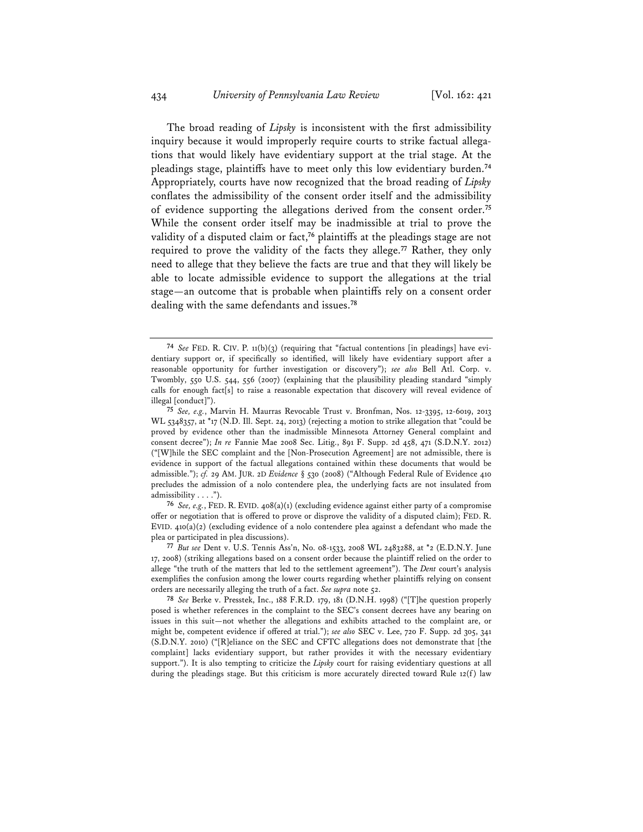The broad reading of *Lipsky* is inconsistent with the first admissibility inquiry because it would improperly require courts to strike factual allegations that would likely have evidentiary support at the trial stage. At the pleadings stage, plaintiffs have to meet only this low evidentiary burden.**<sup>74</sup>** Appropriately, courts have now recognized that the broad reading of *Lipsky* conflates the admissibility of the consent order itself and the admissibility of evidence supporting the allegations derived from the consent order.**<sup>75</sup>** While the consent order itself may be inadmissible at trial to prove the validity of a disputed claim or fact,**<sup>76</sup>** plaintiffs at the pleadings stage are not required to prove the validity of the facts they allege.**<sup>77</sup>** Rather, they only need to allege that they believe the facts are true and that they will likely be able to locate admissible evidence to support the allegations at the trial stage—an outcome that is probable when plaintiffs rely on a consent order dealing with the same defendants and issues.**<sup>78</sup>**

**<sup>74</sup>** *See* FED. R. CIV. P. 11(b)(3) (requiring that "factual contentions [in pleadings] have evidentiary support or, if specifically so identified, will likely have evidentiary support after a reasonable opportunity for further investigation or discovery"); *see also* Bell Atl. Corp. v. Twombly, 550 U.S. 544, 556 (2007) (explaining that the plausibility pleading standard "simply calls for enough fact[s] to raise a reasonable expectation that discovery will reveal evidence of illegal [conduct]").

**<sup>75</sup>** *See, e.g.*, Marvin H. Maurras Revocable Trust v. Bronfman, Nos. 12-3395, 12-6019, 2013 WL 5348357, at \*17 (N.D. Ill. Sept. 24, 2013) (rejecting a motion to strike allegation that "could be proved by evidence other than the inadmissible Minnesota Attorney General complaint and consent decree"); *In re* Fannie Mae 2008 Sec. Litig., 891 F. Supp. 2d 458, 471 (S.D.N.Y. 2012) ("[W]hile the SEC complaint and the [Non-Prosecution Agreement] are not admissible, there is evidence in support of the factual allegations contained within these documents that would be admissible."); *cf.* 29 AM. JUR. 2D *Evidence* § 530 (2008) ("Although Federal Rule of Evidence 410 precludes the admission of a nolo contendere plea, the underlying facts are not insulated from admissibility . . . .").

**<sup>76</sup>** *See, e.g.*, FED. R. EVID. 408(a)(1) (excluding evidence against either party of a compromise offer or negotiation that is offered to prove or disprove the validity of a disputed claim); FED. R. EVID.  $410(a)(2)$  (excluding evidence of a nolo contendere plea against a defendant who made the plea or participated in plea discussions).

**<sup>77</sup>** *But see* Dent v. U.S. Tennis Ass'n, No. 08-1533, 2008 WL 2483288, at \*2 (E.D.N.Y. June 17, 2008) (striking allegations based on a consent order because the plaintiff relied on the order to allege "the truth of the matters that led to the settlement agreement"). The *Dent* court's analysis exemplifies the confusion among the lower courts regarding whether plaintiffs relying on consent orders are necessarily alleging the truth of a fact. *See supra* note 52.

**<sup>78</sup>** *See* Berke v. Presstek, Inc., 188 F.R.D. 179, 181 (D.N.H. 1998) ("[T]he question properly posed is whether references in the complaint to the SEC's consent decrees have any bearing on issues in this suit—not whether the allegations and exhibits attached to the complaint are, or might be, competent evidence if offered at trial."); *see also* SEC v. Lee, 720 F. Supp. 2d 305, 341 (S.D.N.Y. 2010) ("[R]eliance on the SEC and CFTC allegations does not demonstrate that [the complaint] lacks evidentiary support, but rather provides it with the necessary evidentiary support."). It is also tempting to criticize the *Lipsky* court for raising evidentiary questions at all during the pleadings stage. But this criticism is more accurately directed toward Rule  $12(f)$  law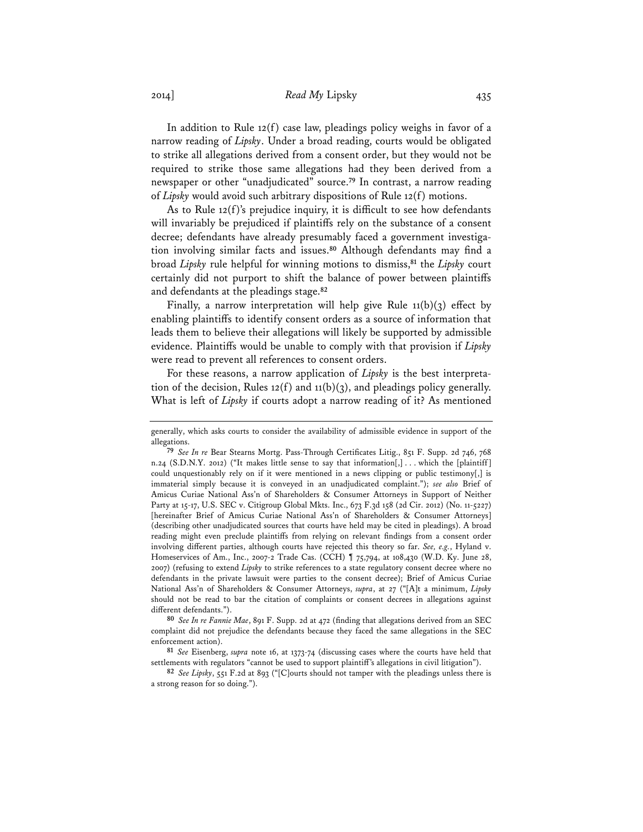# 2014] *Read My* Lipsky 435

In addition to Rule 12(f) case law, pleadings policy weighs in favor of a narrow reading of *Lipsky*. Under a broad reading, courts would be obligated to strike all allegations derived from a consent order, but they would not be required to strike those same allegations had they been derived from a newspaper or other "unadjudicated" source.**<sup>79</sup>** In contrast, a narrow reading of *Lipsky* would avoid such arbitrary dispositions of Rule 12(f) motions.

As to Rule 12(f)'s prejudice inquiry, it is difficult to see how defendants will invariably be prejudiced if plaintiffs rely on the substance of a consent decree; defendants have already presumably faced a government investigation involving similar facts and issues.**<sup>80</sup>** Although defendants may find a broad *Lipsky* rule helpful for winning motions to dismiss,**<sup>81</sup>** the *Lipsky* court certainly did not purport to shift the balance of power between plaintiffs and defendants at the pleadings stage.**<sup>82</sup>**

Finally, a narrow interpretation will help give Rule 11(b)(3) effect by enabling plaintiffs to identify consent orders as a source of information that leads them to believe their allegations will likely be supported by admissible evidence. Plaintiffs would be unable to comply with that provision if *Lipsky* were read to prevent all references to consent orders.

For these reasons, a narrow application of *Lipsky* is the best interpretation of the decision, Rules 12(f) and 11(b)(3), and pleadings policy generally. What is left of *Lipsky* if courts adopt a narrow reading of it? As mentioned

**80** *See In re Fannie Mae*, 891 F. Supp. 2d at 472 (finding that allegations derived from an SEC complaint did not prejudice the defendants because they faced the same allegations in the SEC enforcement action).

**81** *See* Eisenberg, *supra* note 16, at 1373-74 (discussing cases where the courts have held that settlements with regulators "cannot be used to support plaintiff's allegations in civil litigation").

**82** *See Lipsky*, 551 F.2d at 893 ("[C]ourts should not tamper with the pleadings unless there is a strong reason for so doing.").

generally, which asks courts to consider the availability of admissible evidence in support of the allegations.

**<sup>79</sup>** *See In re* Bear Stearns Mortg. Pass-Through Certificates Litig., 851 F. Supp. 2d 746, 768 n.24 (S.D.N.Y. 2012) ("It makes little sense to say that information[,] ... which the [plaintiff] could unquestionably rely on if it were mentioned in a news clipping or public testimony[,] is immaterial simply because it is conveyed in an unadjudicated complaint."); *see also* Brief of Amicus Curiae National Ass'n of Shareholders & Consumer Attorneys in Support of Neither Party at 15-17, U.S. SEC v. Citigroup Global Mkts. Inc., 673 F.3d 158 (2d Cir. 2012) (No. 11-5227) [hereinafter Brief of Amicus Curiae National Ass'n of Shareholders & Consumer Attorneys] (describing other unadjudicated sources that courts have held may be cited in pleadings). A broad reading might even preclude plaintiffs from relying on relevant findings from a consent order involving different parties, although courts have rejected this theory so far. *See, e.g.*, Hyland v. Homeservices of Am., Inc., 2007-2 Trade Cas. (CCH) ¶ 75,794, at 108,430 (W.D. Ky. June 28, 2007) (refusing to extend *Lipsky* to strike references to a state regulatory consent decree where no defendants in the private lawsuit were parties to the consent decree); Brief of Amicus Curiae National Ass'n of Shareholders & Consumer Attorneys, *supra*, at 27 ("[A]t a minimum, *Lipsky* should not be read to bar the citation of complaints or consent decrees in allegations against different defendants.").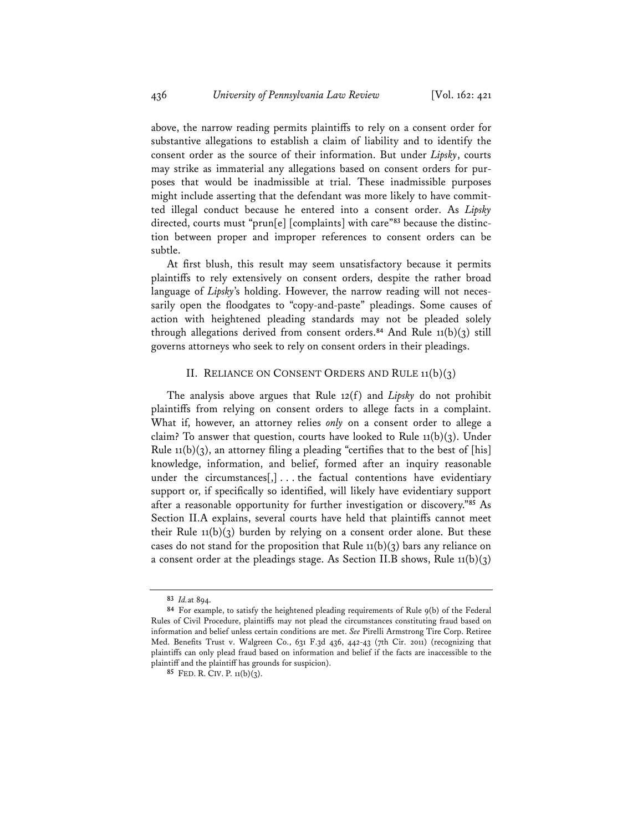above, the narrow reading permits plaintiffs to rely on a consent order for substantive allegations to establish a claim of liability and to identify the consent order as the source of their information. But under *Lipsky*, courts may strike as immaterial any allegations based on consent orders for purposes that would be inadmissible at trial. These inadmissible purposes might include asserting that the defendant was more likely to have committed illegal conduct because he entered into a consent order. As *Lipsky* directed, courts must "prun[e] [complaints] with care"**83** because the distinction between proper and improper references to consent orders can be subtle.

At first blush, this result may seem unsatisfactory because it permits plaintiffs to rely extensively on consent orders, despite the rather broad language of *Lipsky*'s holding. However, the narrow reading will not necessarily open the floodgates to "copy-and-paste" pleadings. Some causes of action with heightened pleading standards may not be pleaded solely through allegations derived from consent orders.**<sup>84</sup>** And Rule 11(b)(3) still governs attorneys who seek to rely on consent orders in their pleadings.

#### II. RELIANCE ON CONSENT ORDERS AND RULE  $11(b)(3)$

The analysis above argues that Rule 12(f) and *Lipsky* do not prohibit plaintiffs from relying on consent orders to allege facts in a complaint. What if, however, an attorney relies *only* on a consent order to allege a claim? To answer that question, courts have looked to Rule  $11(b)(3)$ . Under Rule 11(b)(3), an attorney filing a pleading "certifies that to the best of [his] knowledge, information, and belief, formed after an inquiry reasonable under the circumstances[,] . . . the factual contentions have evidentiary support or, if specifically so identified, will likely have evidentiary support after a reasonable opportunity for further investigation or discovery."**<sup>85</sup>** As Section II.A explains, several courts have held that plaintiffs cannot meet their Rule  $11(b)(3)$  burden by relying on a consent order alone. But these cases do not stand for the proposition that Rule  $11(b)(3)$  bars any reliance on a consent order at the pleadings stage. As Section II.B shows, Rule  $11(b)(3)$ 

**<sup>83</sup>** *Id.*at 894.

**<sup>84</sup>** For example, to satisfy the heightened pleading requirements of Rule 9(b) of the Federal Rules of Civil Procedure, plaintiffs may not plead the circumstances constituting fraud based on information and belief unless certain conditions are met. *See* Pirelli Armstrong Tire Corp. Retiree Med. Benefits Trust v. Walgreen Co., 631 F.3d 436, 442-43 (7th Cir. 2011) (recognizing that plaintiffs can only plead fraud based on information and belief if the facts are inaccessible to the plaintiff and the plaintiff has grounds for suspicion).

**<sup>85</sup>** FED. R. CIV. P. 11(b)(3).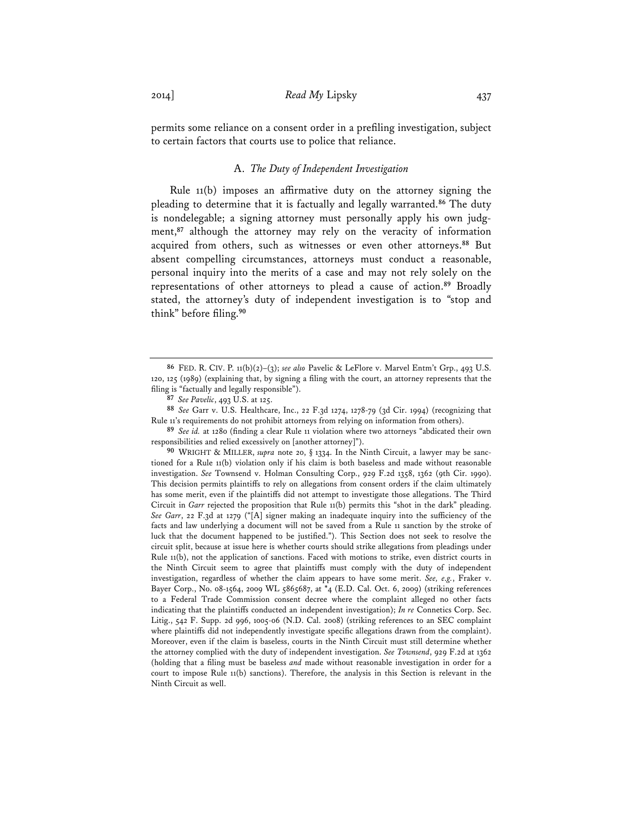permits some reliance on a consent order in a prefiling investigation, subject to certain factors that courts use to police that reliance.

#### A. *The Duty of Independent Investigation*

 Rule 11(b) imposes an affirmative duty on the attorney signing the pleading to determine that it is factually and legally warranted.**<sup>86</sup>** The duty is nondelegable; a signing attorney must personally apply his own judgment,**<sup>87</sup>** although the attorney may rely on the veracity of information acquired from others, such as witnesses or even other attorneys.**<sup>88</sup>** But absent compelling circumstances, attorneys must conduct a reasonable, personal inquiry into the merits of a case and may not rely solely on the representations of other attorneys to plead a cause of action.**<sup>89</sup>** Broadly stated, the attorney's duty of independent investigation is to "stop and think" before filing.**<sup>90</sup>**

**<sup>86</sup>** FED. R. CIV. P. 11(b)(2)–(3); *see also* Pavelic & LeFlore v. Marvel Entm't Grp., 493 U.S. 120, 125 (1989) (explaining that, by signing a filing with the court, an attorney represents that the filing is "factually and legally responsible").

**<sup>87</sup>** *See Pavelic*, 493 U.S. at 125.

**<sup>88</sup>** *See* Garr v. U.S. Healthcare, Inc., 22 F.3d 1274, 1278-79 (3d Cir. 1994) (recognizing that Rule 11's requirements do not prohibit attorneys from relying on information from others).

**<sup>89</sup>** *See id.* at 1280 (finding a clear Rule 11 violation where two attorneys "abdicated their own responsibilities and relied excessively on [another attorney]").

**<sup>90</sup>** WRIGHT & MILLER, *supra* note 20, § 1334. In the Ninth Circuit, a lawyer may be sanctioned for a Rule 11(b) violation only if his claim is both baseless and made without reasonable investigation. *See* Townsend v. Holman Consulting Corp., 929 F.2d 1358, 1362 (9th Cir. 1990). This decision permits plaintiffs to rely on allegations from consent orders if the claim ultimately has some merit, even if the plaintiffs did not attempt to investigate those allegations. The Third Circuit in *Garr* rejected the proposition that Rule 11(b) permits this "shot in the dark" pleading. *See Garr*, 22 F.3d at 1279 ("[A] signer making an inadequate inquiry into the sufficiency of the facts and law underlying a document will not be saved from a Rule 11 sanction by the stroke of luck that the document happened to be justified."). This Section does not seek to resolve the circuit split, because at issue here is whether courts should strike allegations from pleadings under Rule 11(b), not the application of sanctions. Faced with motions to strike, even district courts in the Ninth Circuit seem to agree that plaintiffs must comply with the duty of independent investigation, regardless of whether the claim appears to have some merit. *See, e.g.*, Fraker v. Bayer Corp., No. 08-1564, 2009 WL 5865687, at \*4 (E.D. Cal. Oct. 6, 2009) (striking references to a Federal Trade Commission consent decree where the complaint alleged no other facts indicating that the plaintiffs conducted an independent investigation); *In re* Connetics Corp. Sec. Litig., 542 F. Supp. 2d 996, 1005-06 (N.D. Cal. 2008) (striking references to an SEC complaint where plaintiffs did not independently investigate specific allegations drawn from the complaint). Moreover, even if the claim is baseless, courts in the Ninth Circuit must still determine whether the attorney complied with the duty of independent investigation. *See Townsend*, 929 F.2d at 1362 (holding that a filing must be baseless *and* made without reasonable investigation in order for a court to impose Rule 11(b) sanctions). Therefore, the analysis in this Section is relevant in the Ninth Circuit as well.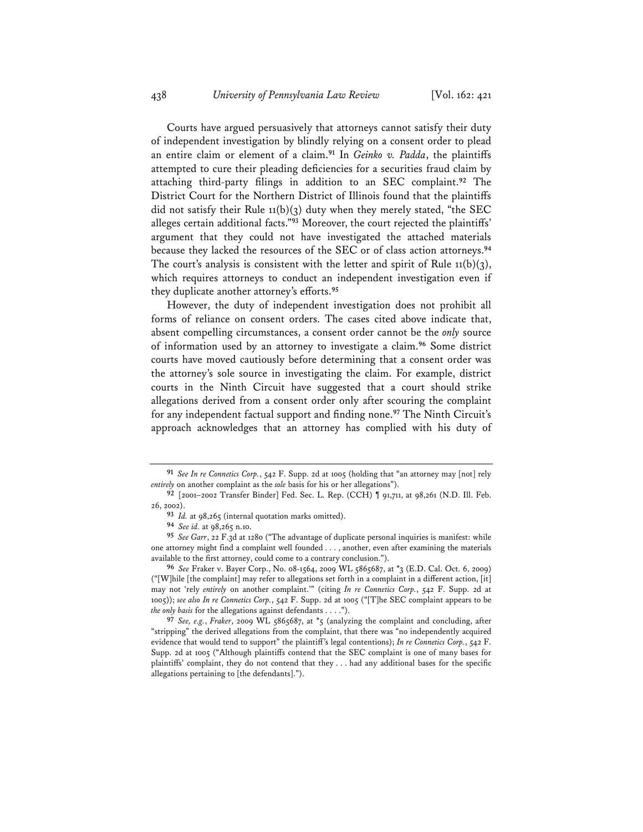Courts have argued persuasively that attorneys cannot satisfy their duty of independent investigation by blindly relying on a consent order to plead an entire claim or element of a claim.**<sup>91</sup>** In *Geinko v. Padda*, the plaintiffs attempted to cure their pleading deficiencies for a securities fraud claim by attaching third-party filings in addition to an SEC complaint.**<sup>92</sup>** The District Court for the Northern District of Illinois found that the plaintiffs did not satisfy their Rule  $11(b)(3)$  duty when they merely stated, "the SEC alleges certain additional facts."**<sup>93</sup>** Moreover, the court rejected the plaintiffs' argument that they could not have investigated the attached materials because they lacked the resources of the SEC or of class action attorneys.**<sup>94</sup>** The court's analysis is consistent with the letter and spirit of Rule  $11(b)(3)$ , which requires attorneys to conduct an independent investigation even if they duplicate another attorney's efforts.**<sup>95</sup>**

However, the duty of independent investigation does not prohibit all forms of reliance on consent orders. The cases cited above indicate that, absent compelling circumstances, a consent order cannot be the *only* source of information used by an attorney to investigate a claim.**<sup>96</sup>** Some district courts have moved cautiously before determining that a consent order was the attorney's sole source in investigating the claim. For example, district courts in the Ninth Circuit have suggested that a court should strike allegations derived from a consent order only after scouring the complaint for any independent factual support and finding none.**<sup>97</sup>** The Ninth Circuit's approach acknowledges that an attorney has complied with his duty of

**<sup>91</sup>** *See In re Connetics Corp.*, 542 F. Supp. 2d at 1005 (holding that "an attorney may [not] rely *entirely* on another complaint as the *sole* basis for his or her allegations").

**<sup>92</sup>** [2001–2002 Transfer Binder] Fed. Sec. L. Rep. (CCH) ¶ 91,711, at 98,261 (N.D. Ill. Feb. 26, 2002).

**<sup>93</sup>** *Id.* at 98,265 (internal quotation marks omitted).

**<sup>94</sup>** *See id.* at 98,265 n.10.

**<sup>95</sup>** *See Garr*, 22 F.3d at 1280 ("The advantage of duplicate personal inquiries is manifest: while one attorney might find a complaint well founded . . . , another, even after examining the materials available to the first attorney, could come to a contrary conclusion.").

**<sup>96</sup>** *See* Fraker v. Bayer Corp., No. 08-1564, 2009 WL 5865687, at \*3 (E.D. Cal. Oct. 6, 2009) ("[W]hile [the complaint] may refer to allegations set forth in a complaint in a different action, [it] may not 'rely *entirely* on another complaint.'" (citing *In re Connetics Corp.*, 542 F. Supp. 2d at 1005)); *see also In re Connetics Corp.*, 542 F. Supp. 2d at 1005 ("[T]he SEC complaint appears to be *the only basis* for the allegations against defendants . . . .").

**<sup>97</sup>** *See, e.g.*, *Fraker*, 2009 WL 5865687, at \*5 (analyzing the complaint and concluding, after "stripping" the derived allegations from the complaint, that there was "no independently acquired evidence that would tend to support" the plaintiff's legal contentions); *In re Connetics Corp.*, 542 F. Supp. 2d at 1005 ("Although plaintiffs contend that the SEC complaint is one of many bases for plaintiffs' complaint, they do not contend that they . . . had any additional bases for the specific allegations pertaining to [the defendants].").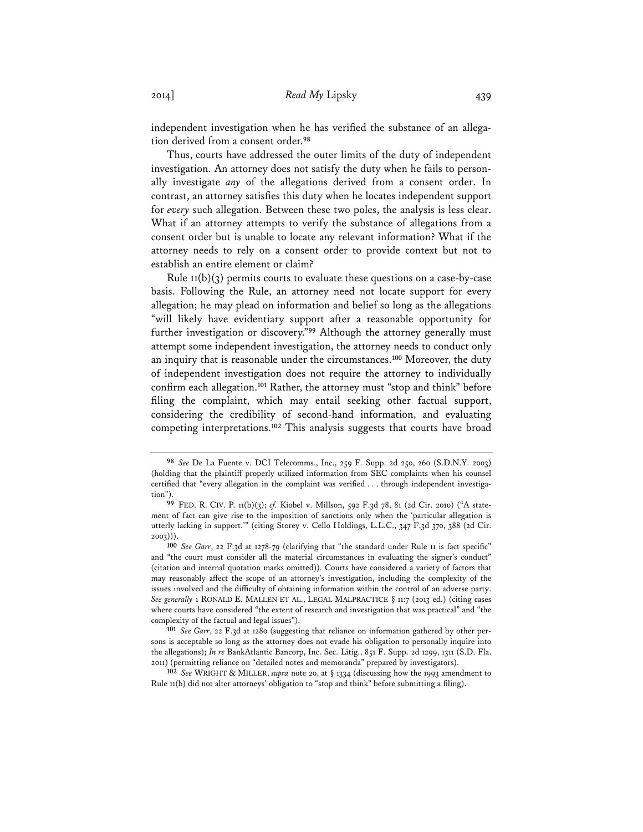independent investigation when he has verified the substance of an allegation derived from a consent order.**<sup>98</sup>**

Thus, courts have addressed the outer limits of the duty of independent investigation. An attorney does not satisfy the duty when he fails to personally investigate *any* of the allegations derived from a consent order. In contrast, an attorney satisfies this duty when he locates independent support for *every* such allegation. Between these two poles, the analysis is less clear. What if an attorney attempts to verify the substance of allegations from a consent order but is unable to locate any relevant information? What if the attorney needs to rely on a consent order to provide context but not to establish an entire element or claim?

Rule  $11(b)(3)$  permits courts to evaluate these questions on a case-by-case basis. Following the Rule, an attorney need not locate support for every allegation; he may plead on information and belief so long as the allegations "will likely have evidentiary support after a reasonable opportunity for further investigation or discovery."**<sup>99</sup>** Although the attorney generally must attempt some independent investigation, the attorney needs to conduct only an inquiry that is reasonable under the circumstances.**<sup>100</sup>** Moreover, the duty of independent investigation does not require the attorney to individually confirm each allegation.**<sup>101</sup>** Rather, the attorney must "stop and think" before filing the complaint, which may entail seeking other factual support, considering the credibility of second-hand information, and evaluating competing interpretations.**<sup>102</sup>** This analysis suggests that courts have broad

**<sup>98</sup>** *See* De La Fuente v. DCI Telecomms., Inc., 259 F. Supp. 2d 250, 260 (S.D.N.Y. 2003) (holding that the plaintiff properly utilized information from SEC complaints when his counsel certified that "every allegation in the complaint was verified . . . through independent investigation").

**<sup>99</sup>** FED. R. CIV. P. 11(b)(3); *cf.* Kiobel v. Millson, 592 F.3d 78, 81 (2d Cir. 2010) ("A statement of fact can give rise to the imposition of sanctions only when the 'particular allegation is utterly lacking in support.'" (citing Storey v. Cello Holdings, L.L.C., 347 F.3d 370, 388 (2d Cir. 2003))).

**<sup>100</sup>** *See Garr*, 22 F.3d at 1278-79 (clarifying that "the standard under Rule 11 is fact specific" and "the court must consider all the material circumstances in evaluating the signer's conduct" (citation and internal quotation marks omitted)). Courts have considered a variety of factors that may reasonably affect the scope of an attorney's investigation, including the complexity of the issues involved and the difficulty of obtaining information within the control of an adverse party. *See generally* 1 RONALD E. MALLEN ET AL., LEGAL MALPRACTICE § 11:7 (2013 ed.) (citing cases where courts have considered "the extent of research and investigation that was practical" and "the complexity of the factual and legal issues").

**<sup>101</sup>** *See Garr*, 22 F.3d at 1280 (suggesting that reliance on information gathered by other persons is acceptable so long as the attorney does not evade his obligation to personally inquire into the allegations); *In re* BankAtlantic Bancorp, Inc. Sec. Litig., 851 F. Supp. 2d 1299, 1311 (S.D. Fla. 2011) (permitting reliance on "detailed notes and memoranda" prepared by investigators).

**<sup>102</sup>** *See* WRIGHT & MILLER, *supra* note 20, at § 1334 (discussing how the 1993 amendment to Rule 11(b) did not alter attorneys' obligation to "stop and think" before submitting a filing).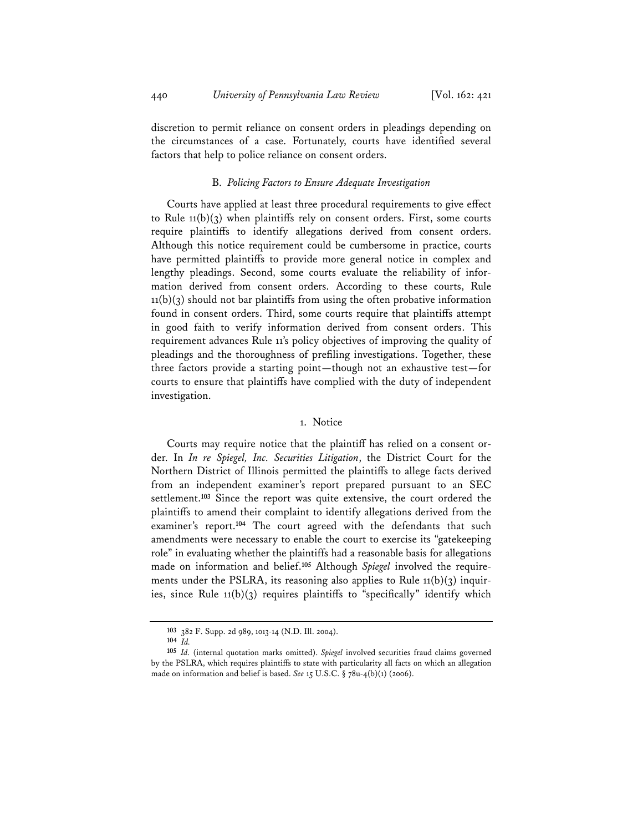discretion to permit reliance on consent orders in pleadings depending on the circumstances of a case. Fortunately, courts have identified several factors that help to police reliance on consent orders.

#### B. *Policing Factors to Ensure Adequate Investigation*

Courts have applied at least three procedural requirements to give effect to Rule  $11(b)(3)$  when plaintiffs rely on consent orders. First, some courts require plaintiffs to identify allegations derived from consent orders. Although this notice requirement could be cumbersome in practice, courts have permitted plaintiffs to provide more general notice in complex and lengthy pleadings. Second, some courts evaluate the reliability of information derived from consent orders. According to these courts, Rule  $11(b)(3)$  should not bar plaintiffs from using the often probative information found in consent orders. Third, some courts require that plaintiffs attempt in good faith to verify information derived from consent orders. This requirement advances Rule 11's policy objectives of improving the quality of pleadings and the thoroughness of prefiling investigations. Together, these three factors provide a starting point—though not an exhaustive test—for courts to ensure that plaintiffs have complied with the duty of independent investigation.

# 1. Notice

Courts may require notice that the plaintiff has relied on a consent order. In *In re Spiegel, Inc. Securities Litigation*, the District Court for the Northern District of Illinois permitted the plaintiffs to allege facts derived from an independent examiner's report prepared pursuant to an SEC settlement.**<sup>103</sup>** Since the report was quite extensive, the court ordered the plaintiffs to amend their complaint to identify allegations derived from the examiner's report.**<sup>104</sup>** The court agreed with the defendants that such amendments were necessary to enable the court to exercise its "gatekeeping role" in evaluating whether the plaintiffs had a reasonable basis for allegations made on information and belief.**105** Although *Spiegel* involved the requirements under the PSLRA, its reasoning also applies to Rule  $11(b)(3)$  inquiries, since Rule 11(b)(3) requires plaintiffs to "specifically" identify which

**<sup>103</sup>** 382 F. Supp. 2d 989, 1013-14 (N.D. Ill. 2004).

**<sup>104</sup>** *Id.*

**<sup>105</sup>** *Id.* (internal quotation marks omitted). *Spiegel* involved securities fraud claims governed by the PSLRA, which requires plaintiffs to state with particularity all facts on which an allegation made on information and belief is based. *See* 15 U.S.C. § 78u-4(b)(1) (2006).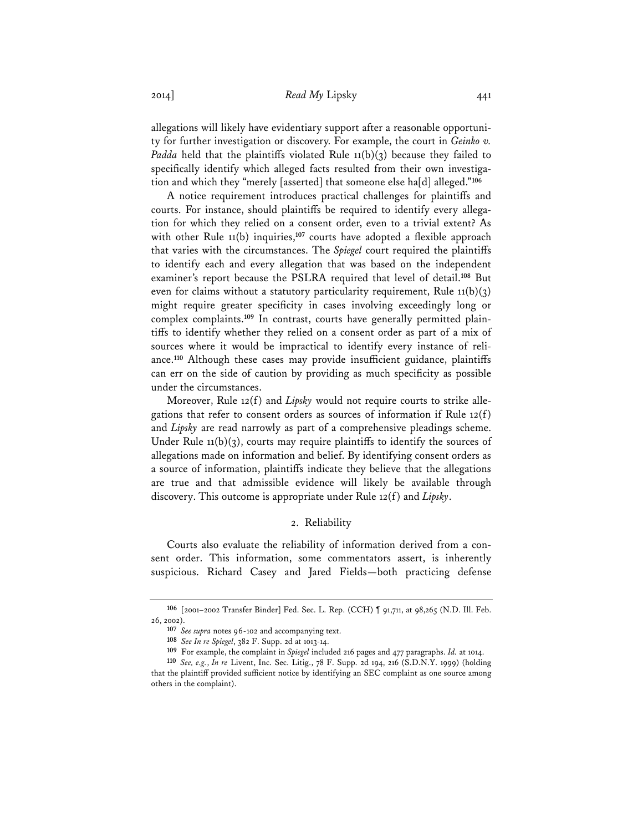2014] *Read My* Lipsky 441

allegations will likely have evidentiary support after a reasonable opportunity for further investigation or discovery. For example, the court in *Geinko v. Padda* held that the plaintiffs violated Rule 11(b)(3) because they failed to specifically identify which alleged facts resulted from their own investigation and which they "merely [asserted] that someone else ha[d] alleged."**<sup>106</sup>**

A notice requirement introduces practical challenges for plaintiffs and courts. For instance, should plaintiffs be required to identify every allegation for which they relied on a consent order, even to a trivial extent? As with other Rule 11(b) inquiries,**<sup>107</sup>** courts have adopted a flexible approach that varies with the circumstances. The *Spiegel* court required the plaintiffs to identify each and every allegation that was based on the independent examiner's report because the PSLRA required that level of detail.**<sup>108</sup>** But even for claims without a statutory particularity requirement, Rule  $11(b)(3)$ might require greater specificity in cases involving exceedingly long or complex complaints.**109** In contrast, courts have generally permitted plaintiffs to identify whether they relied on a consent order as part of a mix of sources where it would be impractical to identify every instance of reliance.**<sup>110</sup>** Although these cases may provide insufficient guidance, plaintiffs can err on the side of caution by providing as much specificity as possible under the circumstances.

Moreover, Rule 12(f) and *Lipsky* would not require courts to strike allegations that refer to consent orders as sources of information if Rule 12(f) and *Lipsky* are read narrowly as part of a comprehensive pleadings scheme. Under Rule  $11(b)(3)$ , courts may require plaintiffs to identify the sources of allegations made on information and belief. By identifying consent orders as a source of information, plaintiffs indicate they believe that the allegations are true and that admissible evidence will likely be available through discovery. This outcome is appropriate under Rule 12(f) and *Lipsky*.

#### 2. Reliability

Courts also evaluate the reliability of information derived from a consent order. This information, some commentators assert, is inherently suspicious. Richard Casey and Jared Fields—both practicing defense

**<sup>106</sup>** [2001–2002 Transfer Binder] Fed. Sec. L. Rep. (CCH) ¶ 91,711, at 98,265 (N.D. Ill. Feb. 26, 2002).

**<sup>107</sup>** *See supra* notes 96-102 and accompanying text.

**<sup>108</sup>** *See In re Spiegel*, 382 F. Supp. 2d at 1013-14.

**<sup>109</sup>** For example, the complaint in *Spiegel* included 216 pages and 477 paragraphs. *Id.* at 1014.

**<sup>110</sup>** *See, e.g.*, *In re* Livent, Inc. Sec. Litig., 78 F. Supp. 2d 194, 216 (S.D.N.Y. 1999) (holding that the plaintiff provided sufficient notice by identifying an SEC complaint as one source among others in the complaint).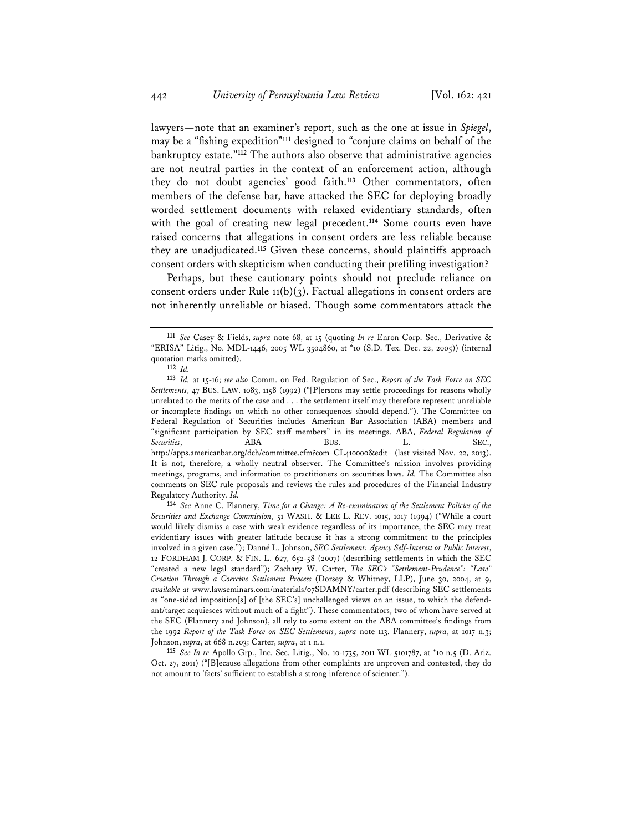lawyers—note that an examiner's report, such as the one at issue in *Spiegel*, may be a "fishing expedition"**<sup>111</sup>** designed to "conjure claims on behalf of the bankruptcy estate."**<sup>112</sup>** The authors also observe that administrative agencies are not neutral parties in the context of an enforcement action, although they do not doubt agencies' good faith.**<sup>113</sup>** Other commentators, often members of the defense bar, have attacked the SEC for deploying broadly worded settlement documents with relaxed evidentiary standards, often with the goal of creating new legal precedent.**<sup>114</sup>** Some courts even have raised concerns that allegations in consent orders are less reliable because they are unadjudicated.**<sup>115</sup>** Given these concerns, should plaintiffs approach consent orders with skepticism when conducting their prefiling investigation?

Perhaps, but these cautionary points should not preclude reliance on consent orders under Rule  $11(b)(3)$ . Factual allegations in consent orders are not inherently unreliable or biased. Though some commentators attack the

**<sup>111</sup>** *See* Casey & Fields, *supra* note 68, at 15 (quoting *In re* Enron Corp. Sec., Derivative & "ERISA" Litig., No. MDL-1446, 2005 WL 3504860, at \*10 (S.D. Tex. Dec. 22, 2005)) (internal quotation marks omitted).

**<sup>112</sup>** *Id.*

**<sup>113</sup>** *Id.* at 15-16; *see also* Comm. on Fed. Regulation of Sec., *Report of the Task Force on SEC Settlements*, 47 BUS. LAW. 1083, 1158 (1992) ("[P]ersons may settle proceedings for reasons wholly unrelated to the merits of the case and . . . the settlement itself may therefore represent unreliable or incomplete findings on which no other consequences should depend."). The Committee on Federal Regulation of Securities includes American Bar Association (ABA) members and "significant participation by SEC staff members" in its meetings. ABA, *Federal Regulation of Securities*, **ABA** BUS. L. SEC., http://apps.americanbar.org/dch/committee.cfm?com=CL410000&edit= (last visited Nov. 22, 2013). It is not, therefore, a wholly neutral observer. The Committee's mission involves providing meetings, programs, and information to practitioners on securities laws. *Id.* The Committee also comments on SEC rule proposals and reviews the rules and procedures of the Financial Industry Regulatory Authority. *Id.* 

**<sup>114</sup>** *See* Anne C. Flannery, *Time for a Change: A Re-examination of the Settlement Policies of the Securities and Exchange Commission*, 51 WASH. & LEE L. REV. 1015, 1017 (1994) ("While a court would likely dismiss a case with weak evidence regardless of its importance, the SEC may treat evidentiary issues with greater latitude because it has a strong commitment to the principles involved in a given case."); Danné L. Johnson, *SEC Settlement: Agency Self-Interest or Public Interest*, 12 FORDHAM J. CORP. & FIN. L. 627, 652-58 (2007) (describing settlements in which the SEC "created a new legal standard"); Zachary W. Carter, *The SEC's "Settlement-Prudence": "Law" Creation Through a Coercive Settlement Process* (Dorsey & Whitney, LLP), June 30, 2004, at 9, *available at* www.lawseminars.com/materials/07SDAMNY/carter.pdf (describing SEC settlements as "one-sided imposition[s] of [the SEC's] unchallenged views on an issue, to which the defendant/target acquiesces without much of a fight"). These commentators, two of whom have served at the SEC (Flannery and Johnson), all rely to some extent on the ABA committee's findings from the 1992 *Report of the Task Force on SEC Settlements*, *supra* note 113. Flannery, *supra*, at 1017 n.3; Johnson, *supra*, at 668 n.203; Carter, *supra*, at 1 n.1.

**<sup>115</sup>** *See In re* Apollo Grp., Inc. Sec. Litig., No. 10-1735, 2011 WL 5101787, at \*10 n.5 (D. Ariz. Oct. 27, 2011) ("[B]ecause allegations from other complaints are unproven and contested, they do not amount to 'facts' sufficient to establish a strong inference of scienter.").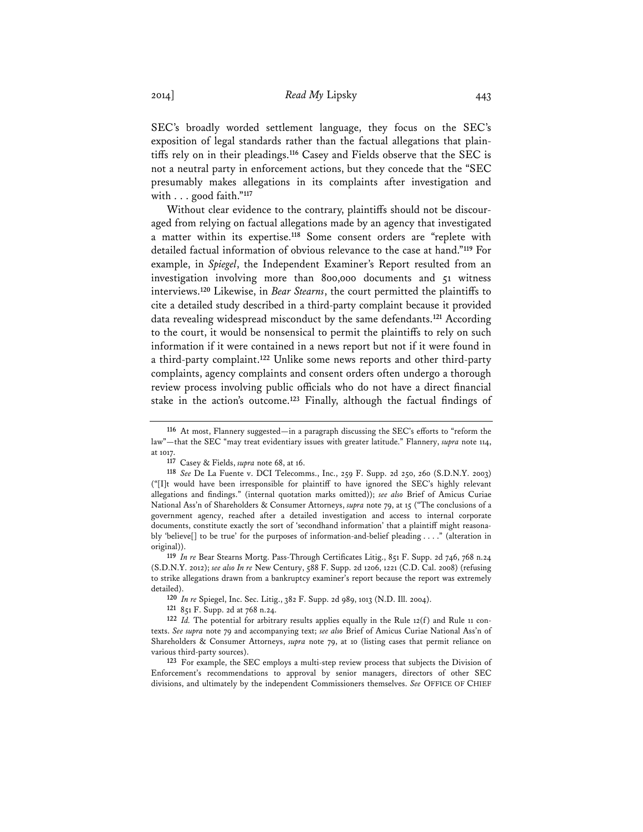SEC's broadly worded settlement language, they focus on the SEC's exposition of legal standards rather than the factual allegations that plaintiffs rely on in their pleadings.**<sup>116</sup>** Casey and Fields observe that the SEC is not a neutral party in enforcement actions, but they concede that the "SEC presumably makes allegations in its complaints after investigation and with . . . good faith."**<sup>117</sup>**

Without clear evidence to the contrary, plaintiffs should not be discouraged from relying on factual allegations made by an agency that investigated a matter within its expertise.**<sup>118</sup>** Some consent orders are "replete with detailed factual information of obvious relevance to the case at hand."**<sup>119</sup>** For example, in *Spiegel*, the Independent Examiner's Report resulted from an investigation involving more than 800,000 documents and 51 witness interviews.**<sup>120</sup>** Likewise, in *Bear Stearns*, the court permitted the plaintiffs to cite a detailed study described in a third-party complaint because it provided data revealing widespread misconduct by the same defendants.**<sup>121</sup>** According to the court, it would be nonsensical to permit the plaintiffs to rely on such information if it were contained in a news report but not if it were found in a third-party complaint.**<sup>122</sup>** Unlike some news reports and other third-party complaints, agency complaints and consent orders often undergo a thorough review process involving public officials who do not have a direct financial stake in the action's outcome.**<sup>123</sup>** Finally, although the factual findings of

**119** *In re* Bear Stearns Mortg. Pass-Through Certificates Litig., 851 F. Supp. 2d 746, 768 n.24 (S.D.N.Y. 2012); *see also In re* New Century, 588 F. Supp. 2d 1206, 1221 (C.D. Cal. 2008) (refusing to strike allegations drawn from a bankruptcy examiner's report because the report was extremely detailed).

**120** *In re* Spiegel, Inc. Sec. Litig., 382 F. Supp. 2d 989, 1013 (N.D. Ill. 2004).

**121** 851 F. Supp. 2d at 768 n.24.

**122** *Id.* The potential for arbitrary results applies equally in the Rule 12(f) and Rule 11 contexts. *See supra* note 79 and accompanying text; *see also* Brief of Amicus Curiae National Ass'n of Shareholders & Consumer Attorneys, *supra* note 79, at 10 (listing cases that permit reliance on various third-party sources).

**123** For example, the SEC employs a multi-step review process that subjects the Division of Enforcement's recommendations to approval by senior managers, directors of other SEC divisions, and ultimately by the independent Commissioners themselves. *See* OFFICE OF CHIEF

**<sup>116</sup>** At most, Flannery suggested—in a paragraph discussing the SEC's efforts to "reform the law"—that the SEC "may treat evidentiary issues with greater latitude." Flannery, *supra* note 114, at 1017.

**<sup>117</sup>** Casey & Fields, *supra* note 68, at 16.

**<sup>118</sup>** *See* De La Fuente v. DCI Telecomms., Inc., 259 F. Supp. 2d 250, 260 (S.D.N.Y. 2003) ("[I]t would have been irresponsible for plaintiff to have ignored the SEC's highly relevant allegations and findings." (internal quotation marks omitted)); *see also* Brief of Amicus Curiae National Ass'n of Shareholders & Consumer Attorneys, *supra* note 79, at 15 ("The conclusions of a government agency, reached after a detailed investigation and access to internal corporate documents, constitute exactly the sort of 'secondhand information' that a plaintiff might reasonably 'believe[] to be true' for the purposes of information-and-belief pleading . . . ." (alteration in original)).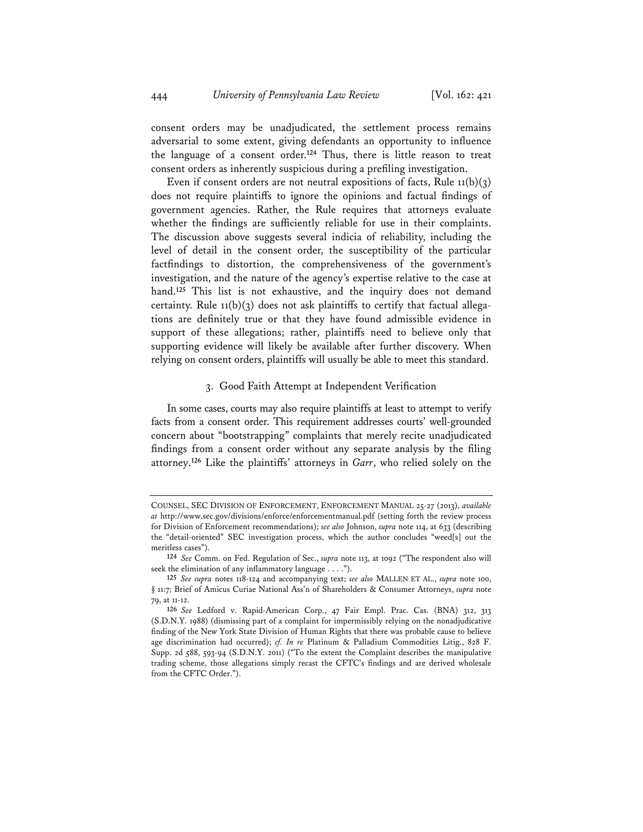consent orders may be unadjudicated, the settlement process remains adversarial to some extent, giving defendants an opportunity to influence the language of a consent order.**<sup>124</sup>** Thus, there is little reason to treat consent orders as inherently suspicious during a prefiling investigation.

Even if consent orders are not neutral expositions of facts, Rule  $11(b)(3)$ does not require plaintiffs to ignore the opinions and factual findings of government agencies. Rather, the Rule requires that attorneys evaluate whether the findings are sufficiently reliable for use in their complaints. The discussion above suggests several indicia of reliability, including the level of detail in the consent order, the susceptibility of the particular factfindings to distortion, the comprehensiveness of the government's investigation, and the nature of the agency's expertise relative to the case at hand.**<sup>125</sup>** This list is not exhaustive, and the inquiry does not demand certainty. Rule 11(b)(3) does not ask plaintiffs to certify that factual allegations are definitely true or that they have found admissible evidence in support of these allegations; rather, plaintiffs need to believe only that supporting evidence will likely be available after further discovery. When relying on consent orders, plaintiffs will usually be able to meet this standard.

### 3. Good Faith Attempt at Independent Verification

In some cases, courts may also require plaintiffs at least to attempt to verify facts from a consent order. This requirement addresses courts' well-grounded concern about "bootstrapping" complaints that merely recite unadjudicated findings from a consent order without any separate analysis by the filing attorney.**<sup>126</sup>** Like the plaintiffs' attorneys in *Garr*, who relied solely on the

COUNSEL, SEC DIVISION OF ENFORCEMENT, ENFORCEMENT MANUAL 25-27 (2013), *available at* http://www.sec.gov/divisions/enforce/enforcementmanual.pdf (setting forth the review process for Division of Enforcement recommendations); *see also* Johnson, *supra* note 114, at 633 (describing the "detail-oriented" SEC investigation process, which the author concludes "weed[s] out the meritless cases").

**<sup>124</sup>** *See* Comm. on Fed. Regulation of Sec., *supra* note 113, at 1092 ("The respondent also will seek the elimination of any inflammatory language . . . .").

**<sup>125</sup>** *See supra* notes 118-124 and accompanying text; *see also* MALLEN ET AL., *supra* note 100, § 11:7; Brief of Amicus Curiae National Ass'n of Shareholders & Consumer Attorneys, *supra* note 79, at 11-12.

**<sup>126</sup>** *See* Ledford v. Rapid-American Corp., 47 Fair Empl. Prac. Cas. (BNA) 312, 313 (S.D.N.Y. 1988) (dismissing part of a complaint for impermissibly relying on the nonadjudicative finding of the New York State Division of Human Rights that there was probable cause to believe age discrimination had occurred); *cf. In re* Platinum & Palladium Commodities Litig., 828 F. Supp. 2d 588, 593-94 (S.D.N.Y. 2011) ("To the extent the Complaint describes the manipulative trading scheme, those allegations simply recast the CFTC's findings and are derived wholesale from the CFTC Order.").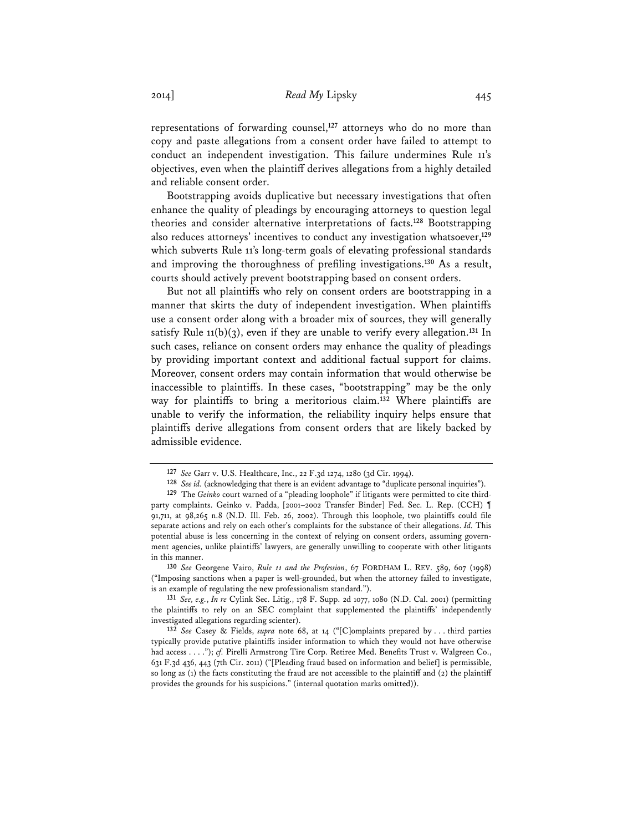representations of forwarding counsel,**<sup>127</sup>** attorneys who do no more than copy and paste allegations from a consent order have failed to attempt to conduct an independent investigation. This failure undermines Rule 11's objectives, even when the plaintiff derives allegations from a highly detailed and reliable consent order.

Bootstrapping avoids duplicative but necessary investigations that often enhance the quality of pleadings by encouraging attorneys to question legal theories and consider alternative interpretations of facts.**<sup>128</sup>** Bootstrapping also reduces attorneys' incentives to conduct any investigation whatsoever,**<sup>129</sup>** which subverts Rule 11's long-term goals of elevating professional standards and improving the thoroughness of prefiling investigations.**<sup>130</sup>** As a result, courts should actively prevent bootstrapping based on consent orders.

But not all plaintiffs who rely on consent orders are bootstrapping in a manner that skirts the duty of independent investigation. When plaintiffs use a consent order along with a broader mix of sources, they will generally satisfy Rule  $11(b)(3)$ , even if they are unable to verify every allegation.<sup>131</sup> In such cases, reliance on consent orders may enhance the quality of pleadings by providing important context and additional factual support for claims. Moreover, consent orders may contain information that would otherwise be inaccessible to plaintiffs. In these cases, "bootstrapping" may be the only way for plaintiffs to bring a meritorious claim.**<sup>132</sup>** Where plaintiffs are unable to verify the information, the reliability inquiry helps ensure that plaintiffs derive allegations from consent orders that are likely backed by admissible evidence.

**130** *See* Georgene Vairo, *Rule 11 and the Profession*, 67 FORDHAM L. REV. 589, 607 (1998) ("Imposing sanctions when a paper is well-grounded, but when the attorney failed to investigate, is an example of regulating the new professionalism standard.").

**<sup>127</sup>** *See* Garr v. U.S. Healthcare, Inc., 22 F.3d 1274, 1280 (3d Cir. 1994).

**<sup>128</sup>** *See id.* (acknowledging that there is an evident advantage to "duplicate personal inquiries").

**<sup>129</sup>** The *Geinko* court warned of a "pleading loophole" if litigants were permitted to cite thirdparty complaints. Geinko v. Padda, [2001–2002 Transfer Binder] Fed. Sec. L. Rep. (CCH) ¶ 91,711, at 98,265 n.8 (N.D. Ill. Feb. 26, 2002). Through this loophole, two plaintiffs could file separate actions and rely on each other's complaints for the substance of their allegations. *Id.* This potential abuse is less concerning in the context of relying on consent orders, assuming government agencies, unlike plaintiffs' lawyers, are generally unwilling to cooperate with other litigants in this manner.

**<sup>131</sup>** *See, e.g.*, *In re* Cylink Sec. Litig., 178 F. Supp. 2d 1077, 1080 (N.D. Cal. 2001) (permitting the plaintiffs to rely on an SEC complaint that supplemented the plaintiffs' independently investigated allegations regarding scienter).

**<sup>132</sup>** *See* Casey & Fields, *supra* note 68, at 14 ("[C]omplaints prepared by . . . third parties typically provide putative plaintiffs insider information to which they would not have otherwise had access . . . ."); *cf.* Pirelli Armstrong Tire Corp. Retiree Med. Benefits Trust v. Walgreen Co., 631 F.3d 436, 443 (7th Cir. 2011) ("[Pleading fraud based on information and belief] is permissible, so long as (1) the facts constituting the fraud are not accessible to the plaintiff and (2) the plaintiff provides the grounds for his suspicions." (internal quotation marks omitted)).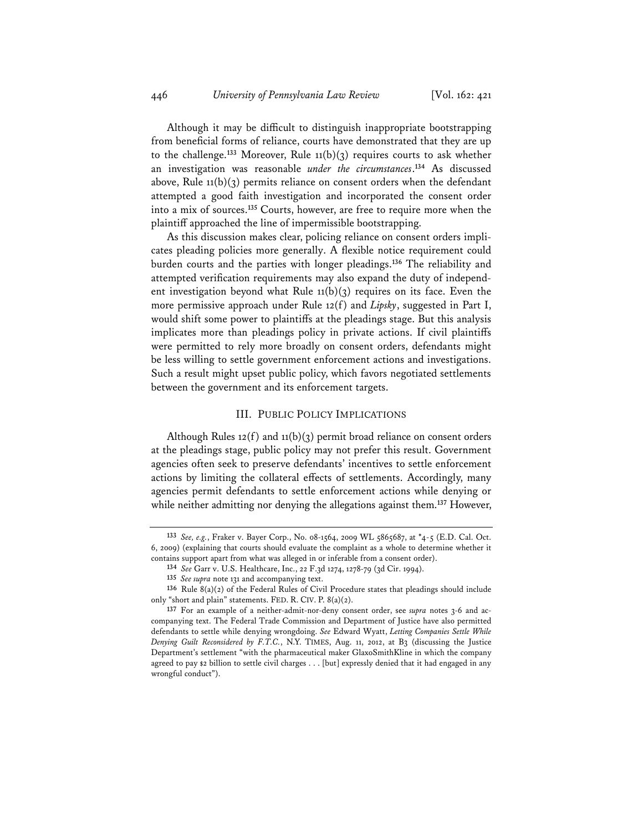Although it may be difficult to distinguish inappropriate bootstrapping from beneficial forms of reliance, courts have demonstrated that they are up to the challenge.**<sup>133</sup>** Moreover, Rule 11(b)(3) requires courts to ask whether an investigation was reasonable *under the circumstances*. **<sup>134</sup>** As discussed above, Rule  $11(b)(3)$  permits reliance on consent orders when the defendant attempted a good faith investigation and incorporated the consent order into a mix of sources.**<sup>135</sup>** Courts, however, are free to require more when the plaintiff approached the line of impermissible bootstrapping.

As this discussion makes clear, policing reliance on consent orders implicates pleading policies more generally. A flexible notice requirement could burden courts and the parties with longer pleadings.**<sup>136</sup>** The reliability and attempted verification requirements may also expand the duty of independent investigation beyond what Rule  $11(b)(3)$  requires on its face. Even the more permissive approach under Rule 12(f) and *Lipsky*, suggested in Part I, would shift some power to plaintiffs at the pleadings stage. But this analysis implicates more than pleadings policy in private actions. If civil plaintiffs were permitted to rely more broadly on consent orders, defendants might be less willing to settle government enforcement actions and investigations. Such a result might upset public policy, which favors negotiated settlements between the government and its enforcement targets.

# III. PUBLIC POLICY IMPLICATIONS

Although Rules  $12(f)$  and  $11(b)(3)$  permit broad reliance on consent orders at the pleadings stage, public policy may not prefer this result. Government agencies often seek to preserve defendants' incentives to settle enforcement actions by limiting the collateral effects of settlements. Accordingly, many agencies permit defendants to settle enforcement actions while denying or while neither admitting nor denying the allegations against them.**<sup>137</sup>** However,

**<sup>133</sup>** *See, e.g.*, Fraker v. Bayer Corp., No. 08-1564, 2009 WL 5865687, at \*4-5 (E.D. Cal. Oct. 6, 2009) (explaining that courts should evaluate the complaint as a whole to determine whether it contains support apart from what was alleged in or inferable from a consent order).

**<sup>134</sup>** *See* Garr v. U.S. Healthcare, Inc., 22 F.3d 1274, 1278-79 (3d Cir. 1994).

**<sup>135</sup>** *See supra* note 131 and accompanying text.

**<sup>136</sup>** Rule 8(a)(2) of the Federal Rules of Civil Procedure states that pleadings should include only "short and plain" statements. FED. R. CIV. P. 8(a)(2).

**<sup>137</sup>** For an example of a neither-admit-nor-deny consent order, see *supra* notes 3-6 and accompanying text. The Federal Trade Commission and Department of Justice have also permitted defendants to settle while denying wrongdoing. *See* Edward Wyatt, *Letting Companies Settle While Denying Guilt Reconsidered by F.T.C.*, N.Y. TIMES, Aug. 11, 2012, at B3 (discussing the Justice Department's settlement "with the pharmaceutical maker GlaxoSmithKline in which the company agreed to pay \$2 billion to settle civil charges . . . [but] expressly denied that it had engaged in any wrongful conduct").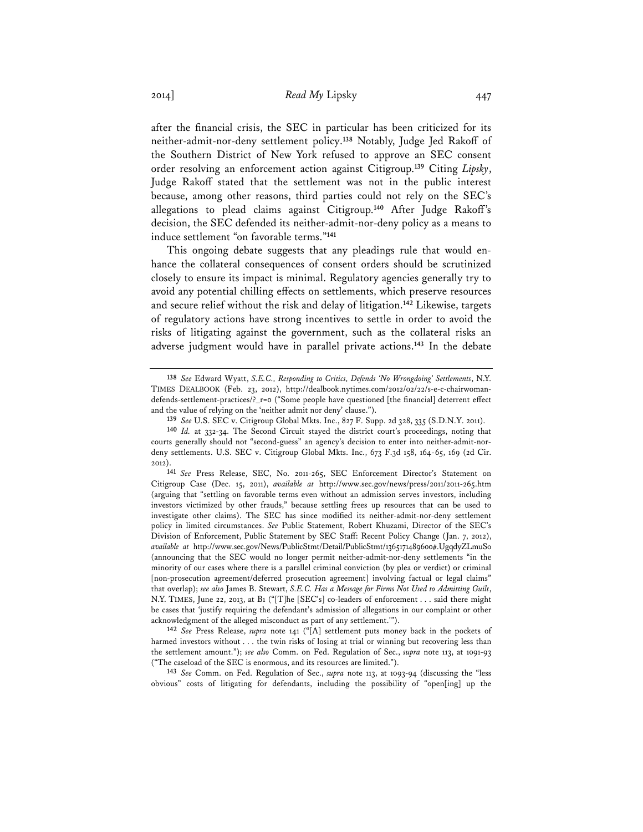after the financial crisis, the SEC in particular has been criticized for its neither-admit-nor-deny settlement policy.**<sup>138</sup>** Notably, Judge Jed Rakoff of the Southern District of New York refused to approve an SEC consent order resolving an enforcement action against Citigroup.**<sup>139</sup>** Citing *Lipsky*, Judge Rakoff stated that the settlement was not in the public interest because, among other reasons, third parties could not rely on the SEC's allegations to plead claims against Citigroup.**<sup>140</sup>** After Judge Rakoff's decision, the SEC defended its neither-admit-nor-deny policy as a means to induce settlement "on favorable terms."**<sup>141</sup>**

This ongoing debate suggests that any pleadings rule that would enhance the collateral consequences of consent orders should be scrutinized closely to ensure its impact is minimal. Regulatory agencies generally try to avoid any potential chilling effects on settlements, which preserve resources and secure relief without the risk and delay of litigation.**<sup>142</sup>** Likewise, targets of regulatory actions have strong incentives to settle in order to avoid the risks of litigating against the government, such as the collateral risks an adverse judgment would have in parallel private actions.**<sup>143</sup>** In the debate

**141** *See* Press Release, SEC, No. 2011-265, SEC Enforcement Director's Statement on Citigroup Case (Dec. 15, 2011), *available at* http://www.sec.gov/news/press/2011/2011-265.htm (arguing that "settling on favorable terms even without an admission serves investors, including investors victimized by other frauds," because settling frees up resources that can be used to investigate other claims). The SEC has since modified its neither-admit-nor-deny settlement policy in limited circumstances. *See* Public Statement, Robert Khuzami, Director of the SEC's Division of Enforcement, Public Statement by SEC Staff: Recent Policy Change (Jan. 7, 2012), *available at* http://www.sec.gov/News/PublicStmt/Detail/PublicStmt/1365171489600#.UgqdyZLmuSo (announcing that the SEC would no longer permit neither-admit-nor-deny settlements "in the minority of our cases where there is a parallel criminal conviction (by plea or verdict) or criminal [non-prosecution agreement/deferred prosecution agreement] involving factual or legal claims" that overlap); *see also* James B. Stewart, *S.E.C. Has a Message for Firms Not Used to Admitting Guilt*, N.Y. TIMES, June 22, 2013, at B1 ("[T]he [SEC's] co-leaders of enforcement . . . said there might be cases that 'justify requiring the defendant's admission of allegations in our complaint or other acknowledgment of the alleged misconduct as part of any settlement.'").

**142** *See* Press Release, *supra* note 141 ("[A] settlement puts money back in the pockets of harmed investors without . . . the twin risks of losing at trial or winning but recovering less than the settlement amount."); *see also* Comm. on Fed. Regulation of Sec., *supra* note 113, at 1091-93 ("The caseload of the SEC is enormous, and its resources are limited.").

**143** *See* Comm. on Fed. Regulation of Sec., *supra* note 113, at 1093-94 (discussing the "less obvious" costs of litigating for defendants, including the possibility of "open[ing] up the

**<sup>138</sup>** *See* Edward Wyatt, *S.E.C., Responding to Critics, Defends 'No Wrongdoing' Settlements*, N.Y. TIMES DEALBOOK (Feb. 23, 2012), http://dealbook.nytimes.com/2012/02/22/s-e-c-chairwomandefends-settlement-practices/?\_r=0 ("Some people have questioned [the financial] deterrent effect and the value of relying on the 'neither admit nor deny' clause.").

**<sup>139</sup>** *See* U.S. SEC v. Citigroup Global Mkts. Inc., 827 F. Supp. 2d 328, 335 (S.D.N.Y. 2011).

**<sup>140</sup>** *Id.* at 332-34. The Second Circuit stayed the district court's proceedings, noting that courts generally should not "second-guess" an agency's decision to enter into neither-admit-nordeny settlements. U.S. SEC v. Citigroup Global Mkts. Inc., 673 F.3d 158, 164-65, 169 (2d Cir. 2012).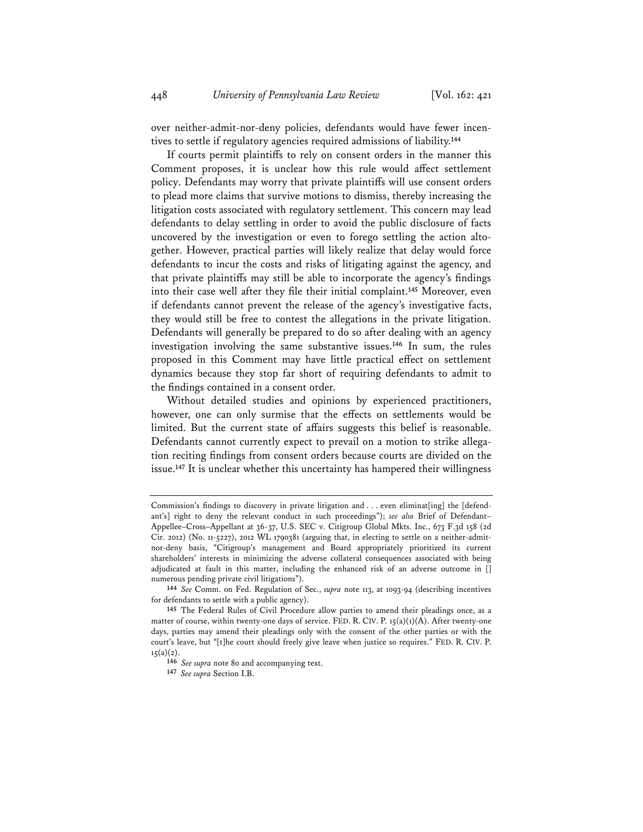over neither-admit-nor-deny policies, defendants would have fewer incentives to settle if regulatory agencies required admissions of liability.**<sup>144</sup>**

If courts permit plaintiffs to rely on consent orders in the manner this Comment proposes, it is unclear how this rule would affect settlement policy. Defendants may worry that private plaintiffs will use consent orders to plead more claims that survive motions to dismiss, thereby increasing the litigation costs associated with regulatory settlement. This concern may lead defendants to delay settling in order to avoid the public disclosure of facts uncovered by the investigation or even to forego settling the action altogether. However, practical parties will likely realize that delay would force defendants to incur the costs and risks of litigating against the agency, and that private plaintiffs may still be able to incorporate the agency's findings into their case well after they file their initial complaint.**<sup>145</sup>** Moreover, even if defendants cannot prevent the release of the agency's investigative facts, they would still be free to contest the allegations in the private litigation. Defendants will generally be prepared to do so after dealing with an agency investigation involving the same substantive issues.**<sup>146</sup>** In sum, the rules proposed in this Comment may have little practical effect on settlement dynamics because they stop far short of requiring defendants to admit to the findings contained in a consent order.

Without detailed studies and opinions by experienced practitioners, however, one can only surmise that the effects on settlements would be limited. But the current state of affairs suggests this belief is reasonable. Defendants cannot currently expect to prevail on a motion to strike allegation reciting findings from consent orders because courts are divided on the issue.**<sup>147</sup>** It is unclear whether this uncertainty has hampered their willingness

Commission's findings to discovery in private litigation and . . . even eliminat[ing] the [defendant's] right to deny the relevant conduct in such proceedings"); *see also* Brief of Defendant– Appellee–Cross–Appellant at 36-37, U.S. SEC v. Citigroup Global Mkts. Inc., 673 F.3d 158 (2d Cir. 2012) (No. 11-5227), 2012 WL 1790381 (arguing that, in electing to settle on a neither-admitnor-deny basis, "Citigroup's management and Board appropriately prioritized its current shareholders' interests in minimizing the adverse collateral consequences associated with being adjudicated at fault in this matter, including the enhanced risk of an adverse outcome in [] numerous pending private civil litigations").

**<sup>144</sup>** *See* Comm. on Fed. Regulation of Sec., *supra* note 113, at 1093-94 (describing incentives for defendants to settle with a public agency).

**<sup>145</sup>** The Federal Rules of Civil Procedure allow parties to amend their pleadings once, as a matter of course, within twenty-one days of service. FED. R. CIV. P.  $15(a)(1)(A)$ . After twenty-one days, parties may amend their pleadings only with the consent of the other parties or with the court's leave, but "[t]he court should freely give leave when justice so requires." FED. R. CIV. P.  $15(a)(2)$ .

**<sup>146</sup>** *See supra* note 80 and accompanying text.

**<sup>147</sup>** *See supra* Section I.B.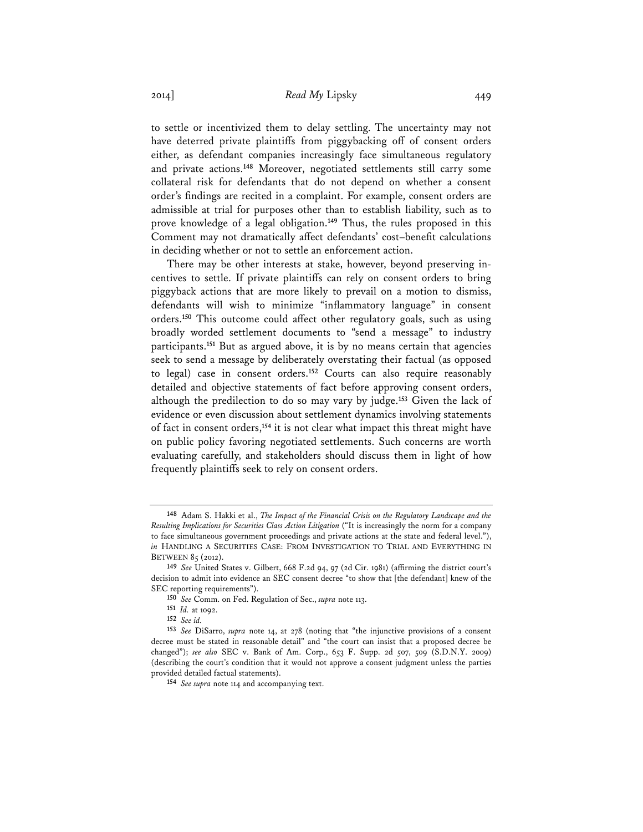to settle or incentivized them to delay settling. The uncertainty may not have deterred private plaintiffs from piggybacking off of consent orders either, as defendant companies increasingly face simultaneous regulatory and private actions.**<sup>148</sup>** Moreover, negotiated settlements still carry some collateral risk for defendants that do not depend on whether a consent order's findings are recited in a complaint. For example, consent orders are admissible at trial for purposes other than to establish liability, such as to prove knowledge of a legal obligation.**<sup>149</sup>** Thus, the rules proposed in this Comment may not dramatically affect defendants' cost–benefit calculations in deciding whether or not to settle an enforcement action.

There may be other interests at stake, however, beyond preserving incentives to settle. If private plaintiffs can rely on consent orders to bring piggyback actions that are more likely to prevail on a motion to dismiss, defendants will wish to minimize "inflammatory language" in consent orders.**<sup>150</sup>** This outcome could affect other regulatory goals, such as using broadly worded settlement documents to "send a message" to industry participants.**<sup>151</sup>** But as argued above, it is by no means certain that agencies seek to send a message by deliberately overstating their factual (as opposed to legal) case in consent orders.**<sup>152</sup>** Courts can also require reasonably detailed and objective statements of fact before approving consent orders, although the predilection to do so may vary by judge.**<sup>153</sup>** Given the lack of evidence or even discussion about settlement dynamics involving statements of fact in consent orders,**<sup>154</sup>** it is not clear what impact this threat might have on public policy favoring negotiated settlements. Such concerns are worth evaluating carefully, and stakeholders should discuss them in light of how frequently plaintiffs seek to rely on consent orders.

**<sup>148</sup>** Adam S. Hakki et al., *The Impact of the Financial Crisis on the Regulatory Landscape and the Resulting Implications for Securities Class Action Litigation* ("It is increasingly the norm for a company to face simultaneous government proceedings and private actions at the state and federal level."), *in* HANDLING A SECURITIES CASE: FROM INVESTIGATION TO TRIAL AND EVERYTHING IN BETWEEN 85 (2012).

**<sup>149</sup>** *See* United States v. Gilbert, 668 F.2d 94, 97 (2d Cir. 1981) (affirming the district court's decision to admit into evidence an SEC consent decree "to show that [the defendant] knew of the SEC reporting requirements").

**<sup>150</sup>** *See* Comm. on Fed. Regulation of Sec., *supra* note 113.

**<sup>151</sup>** *Id.* at 1092.

**<sup>152</sup>** *See id.* 

**<sup>153</sup>** *See* DiSarro, *supra* note 14, at 278 (noting that "the injunctive provisions of a consent decree must be stated in reasonable detail" and "the court can insist that a proposed decree be changed"); *see also* SEC v. Bank of Am. Corp., 653 F. Supp. 2d 507, 509 (S.D.N.Y. 2009) (describing the court's condition that it would not approve a consent judgment unless the parties provided detailed factual statements).

**<sup>154</sup>** *See supra* note 114 and accompanying text.